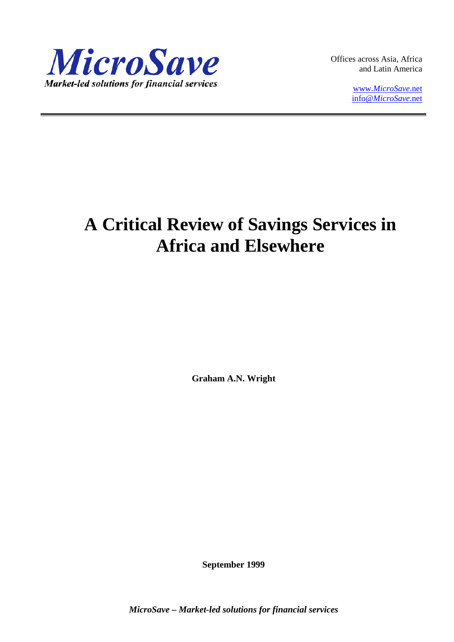

Offices across Asia, Africa and Latin America

> www.*[MicroSave](http://www.microsave.net/)*.net info@*[MicroSave](mailto:info@MicroSave.net)*.net

# **A Critical Review of Savings Services in Africa and Elsewhere**

**Graham A.N. Wright**

**September 1999**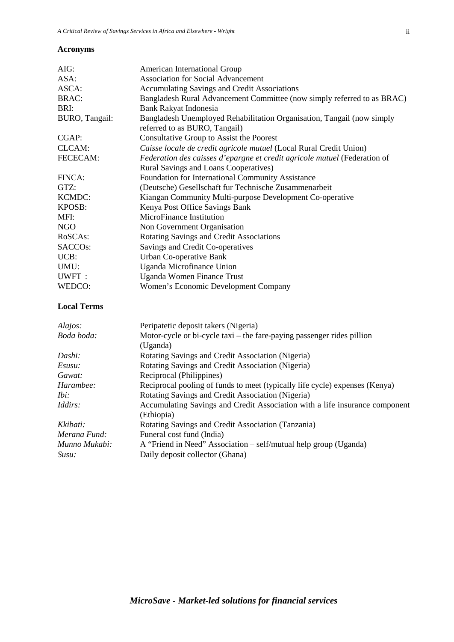# **Acronyms**

| AIG:                   | American International Group                                              |  |  |  |
|------------------------|---------------------------------------------------------------------------|--|--|--|
| ASA:                   | <b>Association for Social Advancement</b>                                 |  |  |  |
| ASCA:                  | Accumulating Savings and Credit Associations                              |  |  |  |
| <b>BRAC:</b>           | Bangladesh Rural Advancement Committee (now simply referred to as BRAC)   |  |  |  |
| BRI:                   | <b>Bank Rakyat Indonesia</b>                                              |  |  |  |
| <b>BURO</b> , Tangail: | Bangladesh Unemployed Rehabilitation Organisation, Tangail (now simply    |  |  |  |
|                        | referred to as BURO, Tangail)                                             |  |  |  |
| CGAP:                  | Consultative Group to Assist the Poorest                                  |  |  |  |
| CLCAM:                 | Caisse locale de credit agricole mutuel (Local Rural Credit Union)        |  |  |  |
| FECECAM:               | Federation des caisses d'epargne et credit agricole mutuel (Federation of |  |  |  |
|                        | Rural Savings and Loans Cooperatives)                                     |  |  |  |
| FINCA:                 | Foundation for International Community Assistance                         |  |  |  |
| GTZ:                   | (Deutsche) Gesellschaft fur Technische Zusammenarbeit                     |  |  |  |
| <b>KCMDC:</b>          | Kiangan Community Multi-purpose Development Co-operative                  |  |  |  |
| KPOSB:                 | Kenya Post Office Savings Bank                                            |  |  |  |
| MFI:                   | MicroFinance Institution                                                  |  |  |  |
| <b>NGO</b>             | Non Government Organisation                                               |  |  |  |
| RoSCAs:                | Rotating Savings and Credit Associations                                  |  |  |  |
| SACCO <sub>s</sub> :   | Savings and Credit Co-operatives                                          |  |  |  |
| UCB:                   | Urban Co-operative Bank                                                   |  |  |  |
| UMU:                   | Uganda Microfinance Union                                                 |  |  |  |
| UWFT:                  | Uganda Women Finance Trust                                                |  |  |  |
| WEDCO:                 | Women's Economic Development Company                                      |  |  |  |
| <b>Local Terms</b>     |                                                                           |  |  |  |
| Alajos:                | Peripatetic deposit takers (Nigeria)                                      |  |  |  |
| Boda boda:             | Motor-cycle or bi-cycle taxi – the fare-paying passenger rides pillion    |  |  |  |
|                        | (Uganda)                                                                  |  |  |  |
| Dashi:                 | Rotating Savings and Credit Association (Nigeria)                         |  |  |  |
| Esusu:                 | Rotating Savings and Credit Association (Nigeria)                         |  |  |  |
| Gawat:                 | Reciprocal (Philippines)                                                  |  |  |  |

| WEDCO:     |                    | Women's Economic Development Compan           |  |  |
|------------|--------------------|-----------------------------------------------|--|--|
|            | <b>Local Terms</b> |                                               |  |  |
| Alajos:    |                    | Peripatetic deposit takers (Nigeria)          |  |  |
| Boda boda: |                    | Motor-cycle or bi-cycle taxi – the fare-payin |  |  |
|            |                    | (Uganda)                                      |  |  |
|            |                    | <b>D</b> C C 10 14 14 14                      |  |  |

| Dashi.         | Rotating Savings and Credit Association (ivigena)                           |  |
|----------------|-----------------------------------------------------------------------------|--|
| Esusu:         | Rotating Savings and Credit Association (Nigeria)                           |  |
| Gawat:         | Reciprocal (Philippines)                                                    |  |
| Harambee:      | Reciprocal pooling of funds to meet (typically life cycle) expenses (Kenya) |  |
| Ibi:           | Rotating Savings and Credit Association (Nigeria)                           |  |
| <i>Iddirs:</i> | Accumulating Savings and Credit Association with a life insurance component |  |
|                | (Ethiopia)                                                                  |  |
| Kkibati:       | Rotating Savings and Credit Association (Tanzania)                          |  |
| Merana Fund:   | Funeral cost fund (India)                                                   |  |
| Munno Mukabi:  | A "Friend in Need" Association – self/mutual help group (Uganda)            |  |
| Susu:          | Daily deposit collector (Ghana)                                             |  |
|                |                                                                             |  |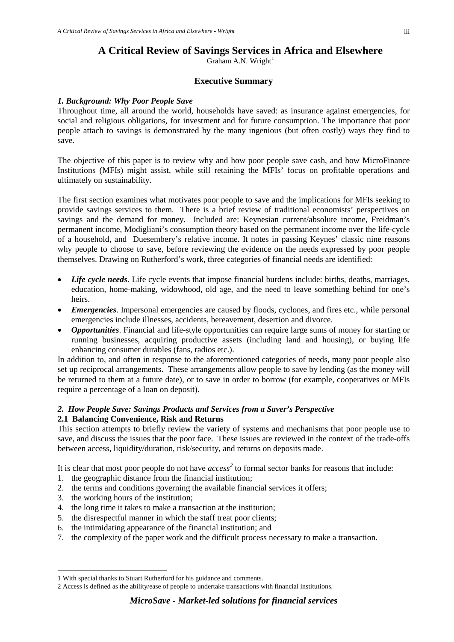# **A Critical Review of Savings Services in Africa and Elsewhere**

Graham A.N. Wright $<sup>1</sup>$  $<sup>1</sup>$  $<sup>1</sup>$ </sup>

# **Executive Summary**

#### *1. Background: Why Poor People Save*

Throughout time, all around the world, households have saved: as insurance against emergencies, for social and religious obligations, for investment and for future consumption. The importance that poor people attach to savings is demonstrated by the many ingenious (but often costly) ways they find to save.

The objective of this paper is to review why and how poor people save cash, and how MicroFinance Institutions (MFIs) might assist, while still retaining the MFIs' focus on profitable operations and ultimately on sustainability.

The first section examines what motivates poor people to save and the implications for MFIs seeking to provide savings services to them. There is a brief review of traditional economists' perspectives on savings and the demand for money. Included are: Keynesian current/absolute income, Freidman's permanent income, Modigliani's consumption theory based on the permanent income over the life-cycle of a household, and Duesembery's relative income. It notes in passing Keynes' classic nine reasons why people to choose to save, before reviewing the evidence on the needs expressed by poor people themselves. Drawing on Rutherford's work, three categories of financial needs are identified:

- *Life cycle needs*. Life cycle events that impose financial burdens include: births, deaths, marriages, education, home-making, widowhood, old age, and the need to leave something behind for one's heirs.
- *Emergencies*. Impersonal emergencies are caused by floods, cyclones, and fires etc., while personal emergencies include illnesses, accidents, bereavement, desertion and divorce.
- *Opportunities*. Financial and life-style opportunities can require large sums of money for starting or running businesses, acquiring productive assets (including land and housing), or buying life enhancing consumer durables (fans, radios etc.).

In addition to, and often in response to the aforementioned categories of needs, many poor people also set up reciprocal arrangements. These arrangements allow people to save by lending (as the money will be returned to them at a future date), or to save in order to borrow (for example, cooperatives or MFIs require a percentage of a loan on deposit).

#### *2. How People Save: Savings Products and Services from a Saver's Perspective* **2.1 Balancing Convenience, Risk and Returns**

This section attempts to briefly review the variety of systems and mechanisms that poor people use to save, and discuss the issues that the poor face. These issues are reviewed in the context of the trade-offs between access, liquidity/duration, risk/security, and returns on deposits made.

It is clear that most poor people do not have *access [2](#page-2-1)* to formal sector banks for reasons that include:

- 1. the geographic distance from the financial institution;
- 2. the terms and conditions governing the available financial services it offers;
- 3. the working hours of the institution;

-

- 4. the long time it takes to make a transaction at the institution;
- 5. the disrespectful manner in which the staff treat poor clients;
- 6. the intimidating appearance of the financial institution; and
- 7. the complexity of the paper work and the difficult process necessary to make a transaction.

<span id="page-2-0"></span><sup>1</sup> With special thanks to Stuart Rutherford for his guidance and comments.

<span id="page-2-1"></span><sup>2</sup> Access is defined as the ability/ease of people to undertake transactions with financial institutions.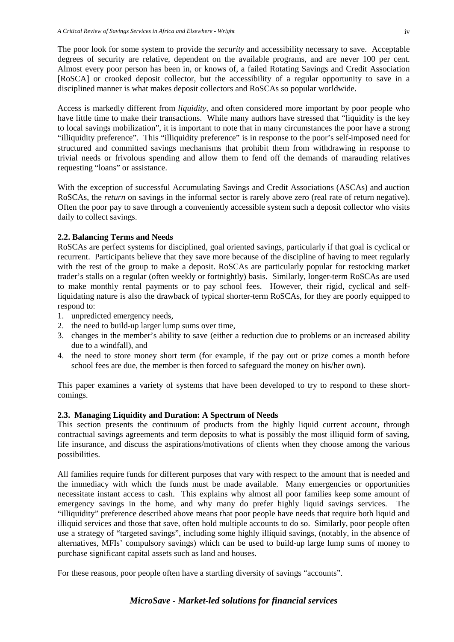The poor look for some system to provide the *security* and accessibility necessary to save. Acceptable degrees of security are relative, dependent on the available programs, and are never 100 per cent. Almost every poor person has been in, or knows of, a failed Rotating Savings and Credit Association [RoSCA] or crooked deposit collector, but the accessibility of a regular opportunity to save in a disciplined manner is what makes deposit collectors and RoSCAs so popular worldwide.

Access is markedly different from *liquidity*, and often considered more important by poor people who have little time to make their transactions. While many authors have stressed that "liquidity is the key to local savings mobilization", it is important to note that in many circumstances the poor have a strong "illiquidity preference". This "illiquidity preference" is in response to the poor's self-imposed need for structured and committed savings mechanisms that prohibit them from withdrawing in response to trivial needs or frivolous spending and allow them to fend off the demands of marauding relatives requesting "loans" or assistance.

With the exception of successful Accumulating Savings and Credit Associations (ASCAs) and auction RoSCAs, the *return* on savings in the informal sector is rarely above zero (real rate of return negative). Often the poor pay to save through a conveniently accessible system such a deposit collector who visits daily to collect savings.

# **2.2. Balancing Terms and Needs**

RoSCAs are perfect systems for disciplined, goal oriented savings, particularly if that goal is cyclical or recurrent. Participants believe that they save more because of the discipline of having to meet regularly with the rest of the group to make a deposit. RoSCAs are particularly popular for restocking market trader's stalls on a regular (often weekly or fortnightly) basis. Similarly, longer-term RoSCAs are used to make monthly rental payments or to pay school fees. However, their rigid, cyclical and selfliquidating nature is also the drawback of typical shorter-term RoSCAs, for they are poorly equipped to respond to:

- 1. unpredicted emergency needs,
- 2. the need to build-up larger lump sums over time,
- 3. changes in the member's ability to save (either a reduction due to problems or an increased ability due to a windfall), and
- 4. the need to store money short term (for example, if the pay out or prize comes a month before school fees are due, the member is then forced to safeguard the money on his/her own).

This paper examines a variety of systems that have been developed to try to respond to these shortcomings.

# **2.3. Managing Liquidity and Duration: A Spectrum of Needs**

This section presents the continuum of products from the highly liquid current account, through contractual savings agreements and term deposits to what is possibly the most illiquid form of saving, life insurance, and discuss the aspirations/motivations of clients when they choose among the various possibilities.

All families require funds for different purposes that vary with respect to the amount that is needed and the immediacy with which the funds must be made available. Many emergencies or opportunities necessitate instant access to cash. This explains why almost all poor families keep some amount of emergency savings in the home, and why many do prefer highly liquid savings services. The "illiquidity" preference described above means that poor people have needs that require both liquid and illiquid services and those that save, often hold multiple accounts to do so. Similarly, poor people often use a strategy of "targeted savings", including some highly illiquid savings, (notably, in the absence of alternatives, MFIs' compulsory savings) which can be used to build-up large lump sums of money to purchase significant capital assets such as land and houses.

For these reasons, poor people often have a startling diversity of savings "accounts".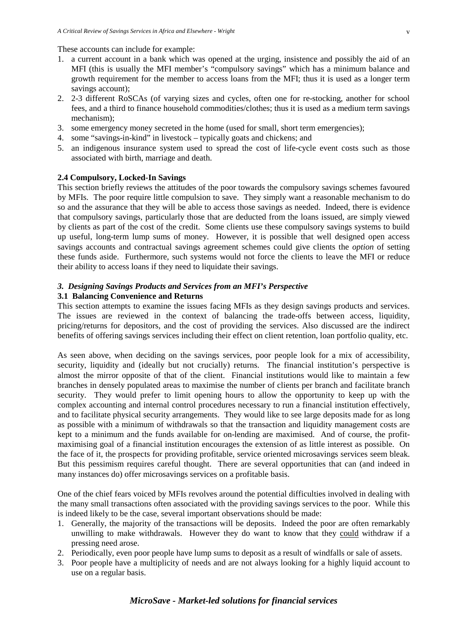These accounts can include for example:

- 1. a current account in a bank which was opened at the urging, insistence and possibly the aid of an MFI (this is usually the MFI member's "compulsory savings" which has a minimum balance and growth requirement for the member to access loans from the MFI; thus it is used as a longer term savings account);
- 2. 2-3 different RoSCAs (of varying sizes and cycles, often one for re-stocking, another for school fees, and a third to finance household commodities/clothes; thus it is used as a medium term savings mechanism);
- 3. some emergency money secreted in the home (used for small, short term emergencies);
- 4. some "savings-in-kind" in livestock typically goats and chickens; and
- 5. an indigenous insurance system used to spread the cost of life-cycle event costs such as those associated with birth, marriage and death.

#### **2.4 Compulsory, Locked-In Savings**

This section briefly reviews the attitudes of the poor towards the compulsory savings schemes favoured by MFIs. The poor require little compulsion to save. They simply want a reasonable mechanism to do so and the assurance that they will be able to access those savings as needed. Indeed, there is evidence that compulsory savings, particularly those that are deducted from the loans issued, are simply viewed by clients as part of the cost of the credit. Some clients use these compulsory savings systems to build up useful, long-term lump sums of money. However, it is possible that well designed open access savings accounts and contractual savings agreement schemes could give clients the *option* of setting these funds aside. Furthermore, such systems would not force the clients to leave the MFI or reduce their ability to access loans if they need to liquidate their savings.

#### *3. Designing Savings Products and Services from an MFI's Perspective*

#### **3.1 Balancing Convenience and Returns**

This section attempts to examine the issues facing MFIs as they design savings products and services. The issues are reviewed in the context of balancing the trade-offs between access, liquidity, pricing/returns for depositors, and the cost of providing the services. Also discussed are the indirect benefits of offering savings services including their effect on client retention, loan portfolio quality, etc.

As seen above, when deciding on the savings services, poor people look for a mix of accessibility, security, liquidity and (ideally but not crucially) returns. The financial institution's perspective is almost the mirror opposite of that of the client. Financial institutions would like to maintain a few branches in densely populated areas to maximise the number of clients per branch and facilitate branch security. They would prefer to limit opening hours to allow the opportunity to keep up with the complex accounting and internal control procedures necessary to run a financial institution effectively, and to facilitate physical security arrangements. They would like to see large deposits made for as long as possible with a minimum of withdrawals so that the transaction and liquidity management costs are kept to a minimum and the funds available for on-lending are maximised. And of course, the profitmaximising goal of a financial institution encourages the extension of as little interest as possible. On the face of it, the prospects for providing profitable, service oriented microsavings services seem bleak. But this pessimism requires careful thought. There are several opportunities that can (and indeed in many instances do) offer microsavings services on a profitable basis.

One of the chief fears voiced by MFIs revolves around the potential difficulties involved in dealing with the many small transactions often associated with the providing savings services to the poor. While this is indeed likely to be the case, several important observations should be made:

- 1. Generally, the majority of the transactions will be deposits. Indeed the poor are often remarkably unwilling to make withdrawals. However they do want to know that they could withdraw if a pressing need arose.
- 2. Periodically, even poor people have lump sums to deposit as a result of windfalls or sale of assets.
- 3. Poor people have a multiplicity of needs and are not always looking for a highly liquid account to use on a regular basis.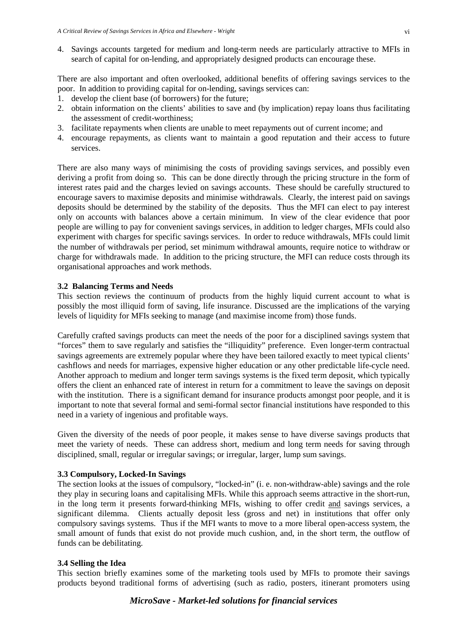4. Savings accounts targeted for medium and long-term needs are particularly attractive to MFIs in search of capital for on-lending, and appropriately designed products can encourage these.

There are also important and often overlooked, additional benefits of offering savings services to the poor. In addition to providing capital for on-lending, savings services can:

- 1. develop the client base (of borrowers) for the future;
- 2. obtain information on the clients' abilities to save and (by implication) repay loans thus facilitating the assessment of credit-worthiness;
- 3. facilitate repayments when clients are unable to meet repayments out of current income; and
- 4. encourage repayments, as clients want to maintain a good reputation and their access to future services.

There are also many ways of minimising the costs of providing savings services, and possibly even deriving a profit from doing so. This can be done directly through the pricing structure in the form of interest rates paid and the charges levied on savings accounts. These should be carefully structured to encourage savers to maximise deposits and minimise withdrawals. Clearly, the interest paid on savings deposits should be determined by the stability of the deposits. Thus the MFI can elect to pay interest only on accounts with balances above a certain minimum. In view of the clear evidence that poor people are willing to pay for convenient savings services, in addition to ledger charges, MFIs could also experiment with charges for specific savings services. In order to reduce withdrawals, MFIs could limit the number of withdrawals per period, set minimum withdrawal amounts, require notice to withdraw or charge for withdrawals made. In addition to the pricing structure, the MFI can reduce costs through its organisational approaches and work methods.

#### **3.2 Balancing Terms and Needs**

This section reviews the continuum of products from the highly liquid current account to what is possibly the most illiquid form of saving, life insurance. Discussed are the implications of the varying levels of liquidity for MFIs seeking to manage (and maximise income from) those funds.

Carefully crafted savings products can meet the needs of the poor for a disciplined savings system that "forces" them to save regularly and satisfies the "illiquidity" preference. Even longer-term contractual savings agreements are extremely popular where they have been tailored exactly to meet typical clients' cashflows and needs for marriages, expensive higher education or any other predictable life-cycle need. Another approach to medium and longer term savings systems is the fixed term deposit, which typically offers the client an enhanced rate of interest in return for a commitment to leave the savings on deposit with the institution. There is a significant demand for insurance products amongst poor people, and it is important to note that several formal and semi-formal sector financial institutions have responded to this need in a variety of ingenious and profitable ways.

Given the diversity of the needs of poor people, it makes sense to have diverse savings products that meet the variety of needs. These can address short, medium and long term needs for saving through disciplined, small, regular or irregular savings; or irregular, larger, lump sum savings.

#### **3.3 Compulsory, Locked-In Savings**

The section looks at the issues of compulsory, "locked-in" (i. e. non-withdraw-able) savings and the role they play in securing loans and capitalising MFIs. While this approach seems attractive in the short-run, in the long term it presents forward-thinking MFIs, wishing to offer credit and savings services, a significant dilemma. Clients actually deposit less (gross and net) in institutions that offer only compulsory savings systems. Thus if the MFI wants to move to a more liberal open-access system, the small amount of funds that exist do not provide much cushion, and, in the short term, the outflow of funds can be debilitating.

#### **3.4 Selling the Idea**

This section briefly examines some of the marketing tools used by MFIs to promote their savings products beyond traditional forms of advertising (such as radio, posters, itinerant promoters using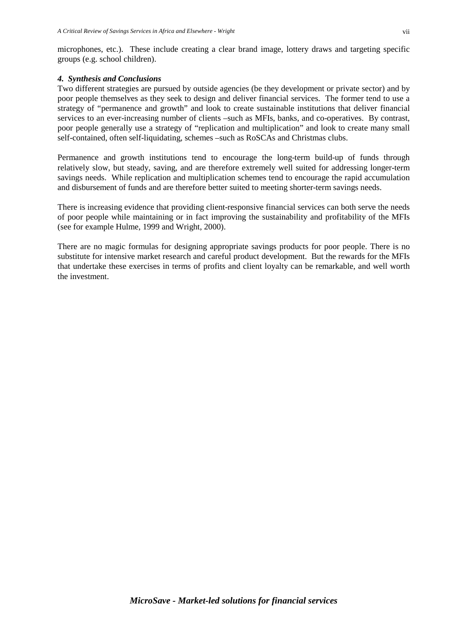# *4. Synthesis and Conclusions*

Two different strategies are pursued by outside agencies (be they development or private sector) and by poor people themselves as they seek to design and deliver financial services. The former tend to use a strategy of "permanence and growth" and look to create sustainable institutions that deliver financial services to an ever-increasing number of clients –such as MFIs, banks, and co-operatives. By contrast, poor people generally use a strategy of "replication and multiplication" and look to create many small self-contained, often self-liquidating, schemes –such as RoSCAs and Christmas clubs.

Permanence and growth institutions tend to encourage the long-term build-up of funds through relatively slow, but steady, saving, and are therefore extremely well suited for addressing longer-term savings needs. While replication and multiplication schemes tend to encourage the rapid accumulation and disbursement of funds and are therefore better suited to meeting shorter-term savings needs.

There is increasing evidence that providing client-responsive financial services can both serve the needs of poor people while maintaining or in fact improving the sustainability and profitability of the MFIs (see for example Hulme, 1999 and Wright, 2000).

There are no magic formulas for designing appropriate savings products for poor people. There is no substitute for intensive market research and careful product development. But the rewards for the MFIs that undertake these exercises in terms of profits and client loyalty can be remarkable, and well worth the investment.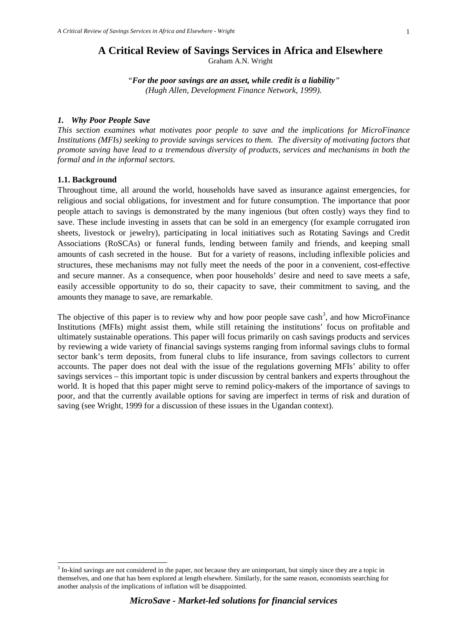#### **A Critical Review of Savings Services in Africa and Elsewhere** Graham A.N. Wright

*"For the poor savings are an asset, while credit is a liability" (Hugh Allen, Development Finance Network, 1999).*

#### *1. Why Poor People Save*

*This section examines what motivates poor people to save and the implications for MicroFinance Institutions (MFIs) seeking to provide savings services to them. The diversity of motivating factors that promote saving have lead to a tremendous diversity of products, services and mechanisms in both the formal and in the informal sectors.*

#### **1.1. Background**

Throughout time, all around the world, households have saved as insurance against emergencies, for religious and social obligations, for investment and for future consumption. The importance that poor people attach to savings is demonstrated by the many ingenious (but often costly) ways they find to save. These include investing in assets that can be sold in an emergency (for example corrugated iron sheets, livestock or jewelry), participating in local initiatives such as Rotating Savings and Credit Associations (RoSCAs) or funeral funds, lending between family and friends, and keeping small amounts of cash secreted in the house. But for a variety of reasons, including inflexible policies and structures, these mechanisms may not fully meet the needs of the poor in a convenient, cost-effective and secure manner. As a consequence, when poor households' desire and need to save meets a safe, easily accessible opportunity to do so, their capacity to save, their commitment to saving, and the amounts they manage to save, are remarkable.

The objective of this paper is to review why and how poor people save  $\cosh^3$  $\cosh^3$ , and how MicroFinance Institutions (MFIs) might assist them, while still retaining the institutions' focus on profitable and ultimately sustainable operations. This paper will focus primarily on cash savings products and services by reviewing a wide variety of financial savings systems ranging from informal savings clubs to formal sector bank's term deposits, from funeral clubs to life insurance, from savings collectors to current accounts. The paper does not deal with the issue of the regulations governing MFIs' ability to offer savings services – this important topic is under discussion by central bankers and experts throughout the world. It is hoped that this paper might serve to remind policy-makers of the importance of savings to poor, and that the currently available options for saving are imperfect in terms of risk and duration of saving (see Wright, 1999 for a discussion of these issues in the Ugandan context).

<span id="page-7-0"></span><sup>&</sup>lt;sup>3</sup> In-kind savings are not considered in the paper, not because they are unimportant, but simply since they are a topic in themselves, and one that has been explored at length elsewhere. Similarly, for the same reason, economists searching for another analysis of the implications of inflation will be disappointed.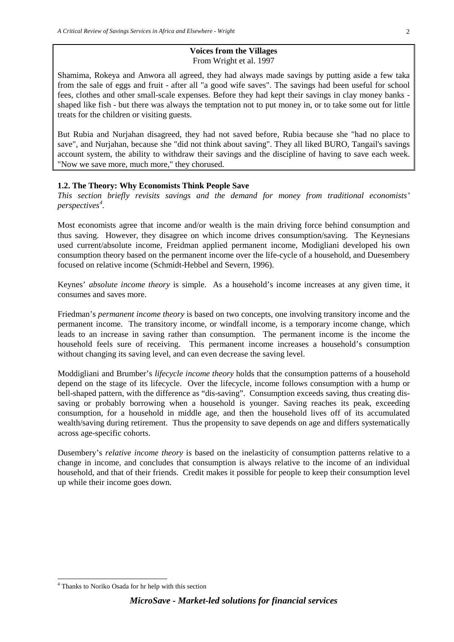#### **Voices from the Villages** From Wright et al. 1997

Shamima, Rokeya and Anwora all agreed, they had always made savings by putting aside a few taka from the sale of eggs and fruit - after all "a good wife saves". The savings had been useful for school fees, clothes and other small-scale expenses. Before they had kept their savings in clay money banks shaped like fish - but there was always the temptation not to put money in, or to take some out for little treats for the children or visiting guests.

But Rubia and Nurjahan disagreed, they had not saved before, Rubia because she "had no place to save", and Nurjahan, because she "did not think about saving". They all liked BURO, Tangail's savings account system, the ability to withdraw their savings and the discipline of having to save each week. "Now we save more, much more," they chorused.

#### **1.2. The Theory: Why Economists Think People Save**

*This section briefly revisits savings and the demand for money from traditional economists' perspectives[4](#page-8-0) .* 

Most economists agree that income and/or wealth is the main driving force behind consumption and thus saving. However, they disagree on which income drives consumption/saving. The Keynesians used current/absolute income, Freidman applied permanent income, Modigliani developed his own consumption theory based on the permanent income over the life-cycle of a household, and Duesembery focused on relative income (Schmidt-Hebbel and Severn, 1996).

Keynes' *absolute income theory* is simple. As a household's income increases at any given time, it consumes and saves more.

Friedman's *permanent income theory* is based on two concepts, one involving transitory income and the permanent income. The transitory income, or windfall income, is a temporary income change, which leads to an increase in saving rather than consumption. The permanent income is the income the household feels sure of receiving. This permanent income increases a household's consumption without changing its saving level, and can even decrease the saving level.

Moddigliani and Brumber's *lifecycle income theory* holds that the consumption patterns of a household depend on the stage of its lifecycle. Over the lifecycle, income follows consumption with a hump or bell-shaped pattern, with the difference as "dis-saving". Consumption exceeds saving, thus creating dissaving or probably borrowing when a household is younger. Saving reaches its peak, exceeding consumption, for a household in middle age, and then the household lives off of its accumulated wealth/saving during retirement. Thus the propensity to save depends on age and differs systematically across age-specific cohorts.

Dusembery's *relative income theory* is based on the inelasticity of consumption patterns relative to a change in income, and concludes that consumption is always relative to the income of an individual household, and that of their friends. Credit makes it possible for people to keep their consumption level up while their income goes down.

<span id="page-8-0"></span> <sup>4</sup> Thanks to Noriko Osada for hr help with this section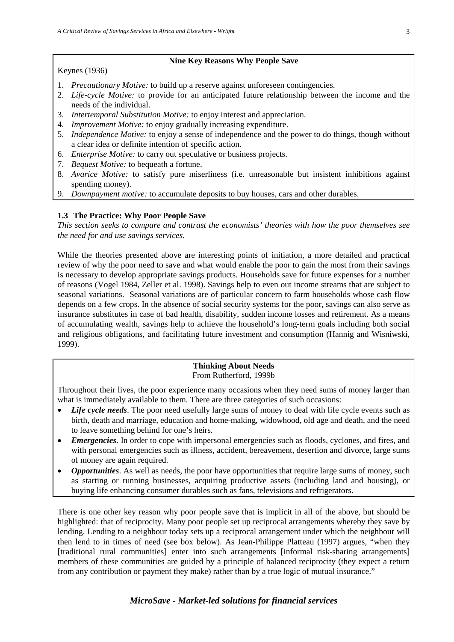# **Nine Key Reasons Why People Save**

Keynes (1936)

- 1. *Precautionary Motive:* to build up a reserve against unforeseen contingencies.
- 2. *Life-cycle Motive:* to provide for an anticipated future relationship between the income and the needs of the individual.
- 3. *Intertemporal Substitution Motive:* to enjoy interest and appreciation.
- 4. *Improvement Motive:* to enjoy gradually increasing expenditure.
- 5. *Independence Motive:* to enjoy a sense of independence and the power to do things, though without a clear idea or definite intention of specific action.
- 6. *Enterprise Motive:* to carry out speculative or business projects.
- 7. *Bequest Motive:* to bequeath a fortune.
- 8. *Avarice Motive:* to satisfy pure miserliness (i.e. unreasonable but insistent inhibitions against spending money).
- 9. *Downpayment motive:* to accumulate deposits to buy houses, cars and other durables.

# **1.3 The Practice: Why Poor People Save**

*This section seeks to compare and contrast the economists' theories with how the poor themselves see the need for and use savings services.* 

While the theories presented above are interesting points of initiation, a more detailed and practical review of why the poor need to save and what would enable the poor to gain the most from their savings is necessary to develop appropriate savings products. Households save for future expenses for a number of reasons (Vogel 1984, Zeller et al. 1998). Savings help to even out income streams that are subject to seasonal variations. Seasonal variations are of particular concern to farm households whose cash flow depends on a few crops. In the absence of social security systems for the poor, savings can also serve as insurance substitutes in case of bad health, disability, sudden income losses and retirement. As a means of accumulating wealth, savings help to achieve the household's long-term goals including both social and religious obligations, and facilitating future investment and consumption (Hannig and Wisniwski, 1999).

#### **Thinking About Needs** From Rutherford, 1999b

Throughout their lives, the poor experience many occasions when they need sums of money larger than what is immediately available to them. There are three categories of such occasions:

- *Life cycle needs*. The poor need usefully large sums of money to deal with life cycle events such as birth, death and marriage, education and home-making, widowhood, old age and death, and the need to leave something behind for one's heirs.
- *Emergencies*. In order to cope with impersonal emergencies such as floods, cyclones, and fires, and with personal emergencies such as illness, accident, bereavement, desertion and divorce, large sums of money are again required.
- *Opportunities*. As well as needs, the poor have opportunities that require large sums of money, such as starting or running businesses, acquiring productive assets (including land and housing), or buying life enhancing consumer durables such as fans, televisions and refrigerators.

There is one other key reason why poor people save that is implicit in all of the above, but should be highlighted: that of reciprocity. Many poor people set up reciprocal arrangements whereby they save by lending. Lending to a neighbour today sets up a reciprocal arrangement under which the neighbour will then lend to in times of need (see box below). As Jean-Philippe Platteau (1997) argues, "when they [traditional rural communities] enter into such arrangements [informal risk-sharing arrangements] members of these communities are guided by a principle of balanced reciprocity (they expect a return from any contribution or payment they make) rather than by a true logic of mutual insurance."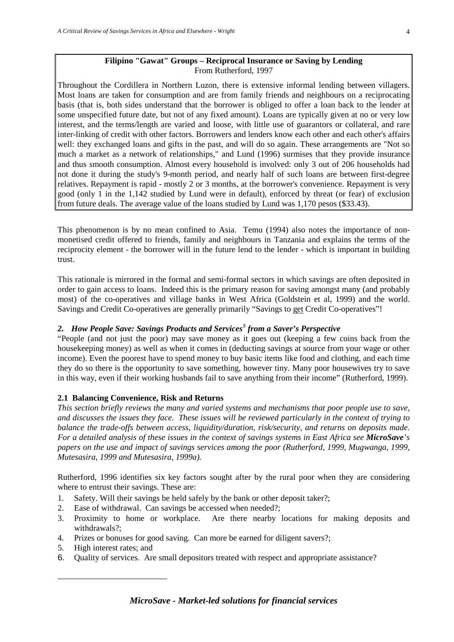# **Filipino "Gawat" Groups – Reciprocal Insurance or Saving by Lending** From Rutherford, 1997

Throughout the Cordillera in Northern Luzon, there is extensive informal lending between villagers. Most loans are taken for consumption and are from family friends and neighbours on a reciprocating basis (that is, both sides understand that the borrower is obliged to offer a loan back to the lender at some unspecified future date, but not of any fixed amount). Loans are typically given at no or very low interest, and the terms/length are varied and loose, with little use of guarantors or collateral, and rare inter-linking of credit with other factors. Borrowers and lenders know each other and each other's affairs well: they exchanged loans and gifts in the past, and will do so again. These arrangements are "Not so much a market as a network of relationships," and Lund (1996) surmises that they provide insurance and thus smooth consumption. Almost every household is involved: only 3 out of 206 households had not done it during the study's 9-month period, and nearly half of such loans are between first-degree relatives. Repayment is rapid - mostly 2 or 3 months, at the borrower's convenience. Repayment is very good (only 1 in the 1,142 studied by Lund were in default), enforced by threat (or fear) of exclusion from future deals. The average value of the loans studied by Lund was 1,170 pesos (\$33.43).

This phenomenon is by no mean confined to Asia. Temu (1994) also notes the importance of nonmonetised credit offered to friends, family and neighbours in Tanzania and explains the terms of the reciprocity element - the borrower will in the future lend to the lender - which is important in building trust.

This rationale is mirrored in the formal and semi-formal sectors in which savings are often deposited in order to gain access to loans. Indeed this is the primary reason for saving amongst many (and probably most) of the co-operatives and village banks in West Africa (Goldstein et al, 1999) and the world. Savings and Credit Co-operatives are generally primarily "Savings to get Credit Co-operatives"!

# *2. How People Save: Savings Products and Services[5](#page-10-0) from a Saver's Perspective*

"People (and not just the poor) may save money as it goes out (keeping a few coins back from the housekeeping money) as well as when it comes in (deducting savings at source from your wage or other income). Even the poorest have to spend money to buy basic items like food and clothing, and each time they do so there is the opportunity to save something, however tiny. Many poor housewives try to save in this way, even if their working husbands fail to save anything from their income" (Rutherford, 1999).

# **2.1 Balancing Convenience, Risk and Returns**

*This section briefly reviews the many and varied systems and mechanisms that poor people use to save, and discusses the issues they face. These issues will be reviewed particularly in the context of trying to balance the trade-offs between access, liquidity/duration, risk/security, and returns on deposits made. For a detailed analysis of these issues in the context of savings systems in East Africa see MicroSave's papers on the use and impact of savings services among the poor (Rutherford, 1999, Mugwanga, 1999, Mutesasira, 1999 and Mutesasira, 1999a).*

Rutherford, 1996 identifies six key factors sought after by the rural poor when they are considering where to entrust their savings. These are:

- 1. Safety. Will their savings be held safely by the bank or other deposit taker?;
- 2. Ease of withdrawal. Can savings be accessed when needed?;
- 3. Proximity to home or workplace. Are there nearby locations for making deposits and withdrawals?;
- 4. Prizes or bonuses for good saving. Can more be earned for diligent savers?;
- 5. High interest rates; and

<span id="page-10-0"></span>-

6. Quality of services. Are small depositors treated with respect and appropriate assistance?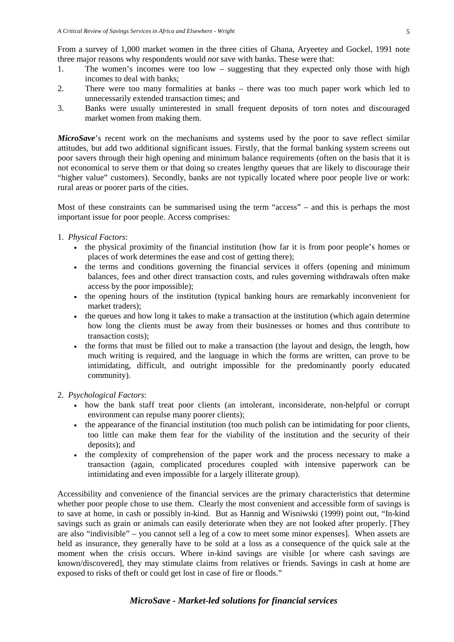From a survey of 1,000 market women in the three cities of Ghana, Aryeetey and Gockel, 1991 note three major reasons why respondents would *not* save with banks. These were that:

- 1. The women's incomes were too low suggesting that they expected only those with high incomes to deal with banks;
- 2. There were too many formalities at banks there was too much paper work which led to unnecessarily extended transaction times; and
- 3. Banks were usually uninterested in small frequent deposits of torn notes and discouraged market women from making them.

*MicroSave*'s recent work on the mechanisms and systems used by the poor to save reflect similar attitudes, but add two additional significant issues. Firstly, that the formal banking system screens out poor savers through their high opening and minimum balance requirements (often on the basis that it is not economical to serve them or that doing so creates lengthy queues that are likely to discourage their "higher value" customers). Secondly, banks are not typically located where poor people live or work: rural areas or poorer parts of the cities.

Most of these constraints can be summarised using the term "access" – and this is perhaps the most important issue for poor people. Access comprises:

- 1. *Physical Factors*:
	- the physical proximity of the financial institution (how far it is from poor people's homes or places of work determines the ease and cost of getting there);
	- the terms and conditions governing the financial services it offers (opening and minimum balances, fees and other direct transaction costs, and rules governing withdrawals often make access by the poor impossible);
	- the opening hours of the institution (typical banking hours are remarkably inconvenient for market traders);
	- the queues and how long it takes to make a transaction at the institution (which again determine how long the clients must be away from their businesses or homes and thus contribute to transaction costs);
	- the forms that must be filled out to make a transaction (the layout and design, the length, how much writing is required, and the language in which the forms are written, can prove to be intimidating, difficult, and outright impossible for the predominantly poorly educated community).
- 2. *Psychological Factors*:
	- how the bank staff treat poor clients (an intolerant, inconsiderate, non-helpful or corrupt environment can repulse many poorer clients);
	- the appearance of the financial institution (too much polish can be intimidating for poor clients, too little can make them fear for the viability of the institution and the security of their deposits); and
	- the complexity of comprehension of the paper work and the process necessary to make a transaction (again, complicated procedures coupled with intensive paperwork can be intimidating and even impossible for a largely illiterate group).

Accessibility and convenience of the financial services are the primary characteristics that determine whether poor people chose to use them. Clearly the most convenient and accessible form of savings is to save at home, in cash or possibly in-kind. But as Hannig and Wisniwski (1999) point out, "In-kind savings such as grain or animals can easily deteriorate when they are not looked after properly. [They are also "indivisible" – you cannot sell a leg of a cow to meet some minor expenses]. When assets are held as insurance, they generally have to be sold at a loss as a consequence of the quick sale at the moment when the crisis occurs. Where in-kind savings are visible [or where cash savings are known/discovered], they may stimulate claims from relatives or friends. Savings in cash at home are exposed to risks of theft or could get lost in case of fire or floods."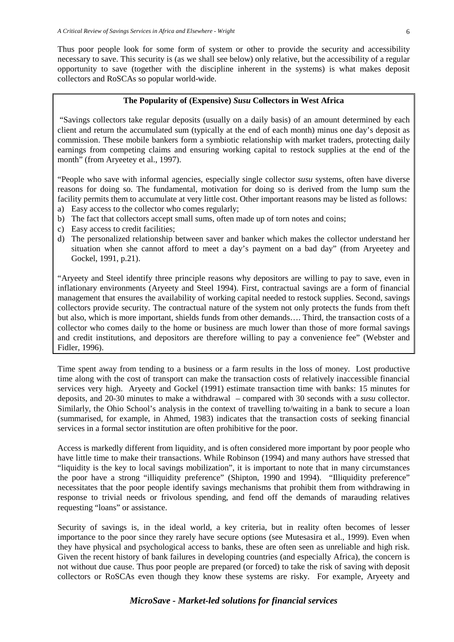Thus poor people look for some form of system or other to provide the security and accessibility necessary to save. This security is (as we shall see below) only relative, but the accessibility of a regular opportunity to save (together with the discipline inherent in the systems) is what makes deposit collectors and RoSCAs so popular world-wide.

# **The Popularity of (Expensive)** *Susu* **Collectors in West Africa**

"Savings collectors take regular deposits (usually on a daily basis) of an amount determined by each client and return the accumulated sum (typically at the end of each month) minus one day's deposit as commission. These mobile bankers form a symbiotic relationship with market traders, protecting daily earnings from competing claims and ensuring working capital to restock supplies at the end of the month" (from Aryeetey et al., 1997).

"People who save with informal agencies, especially single collector *susu* systems, often have diverse reasons for doing so. The fundamental, motivation for doing so is derived from the lump sum the facility permits them to accumulate at very little cost. Other important reasons may be listed as follows: a) Easy access to the collector who comes regularly;

- b) The fact that collectors accept small sums, often made up of torn notes and coins;
- c) Easy access to credit facilities;
- d) The personalized relationship between saver and banker which makes the collector understand her situation when she cannot afford to meet a day's payment on a bad day" (from Aryeetey and Gockel, 1991, p.21).

"Aryeety and Steel identify three principle reasons why depositors are willing to pay to save, even in inflationary environments (Aryeety and Steel 1994). First, contractual savings are a form of financial management that ensures the availability of working capital needed to restock supplies. Second, savings collectors provide security. The contractual nature of the system not only protects the funds from theft but also, which is more important, shields funds from other demands…. Third, the transaction costs of a collector who comes daily to the home or business are much lower than those of more formal savings and credit institutions, and depositors are therefore willing to pay a convenience fee" (Webster and Fidler, 1996).

Time spent away from tending to a business or a farm results in the loss of money. Lost productive time along with the cost of transport can make the transaction costs of relatively inaccessible financial services very high. Aryeety and Gockel (1991) estimate transaction time with banks: 15 minutes for deposits, and 20-30 minutes to make a withdrawal – compared with 30 seconds with a *susu* collector. Similarly, the Ohio School's analysis in the context of travelling to/waiting in a bank to secure a loan (summarised, for example, in Ahmed, 1983) indicates that the transaction costs of seeking financial services in a formal sector institution are often prohibitive for the poor.

Access is markedly different from liquidity, and is often considered more important by poor people who have little time to make their transactions. While Robinson (1994) and many authors have stressed that "liquidity is the key to local savings mobilization", it is important to note that in many circumstances the poor have a strong "illiquidity preference" (Shipton, 1990 and 1994). "Illiquidity preference" necessitates that the poor people identify savings mechanisms that prohibit them from withdrawing in response to trivial needs or frivolous spending, and fend off the demands of marauding relatives requesting "loans" or assistance.

Security of savings is, in the ideal world, a key criteria, but in reality often becomes of lesser importance to the poor since they rarely have secure options (see Mutesasira et al., 1999). Even when they have physical and psychological access to banks, these are often seen as unreliable and high risk. Given the recent history of bank failures in developing countries (and especially Africa), the concern is not without due cause. Thus poor people are prepared (or forced) to take the risk of saving with deposit collectors or RoSCAs even though they know these systems are risky. For example, Aryeety and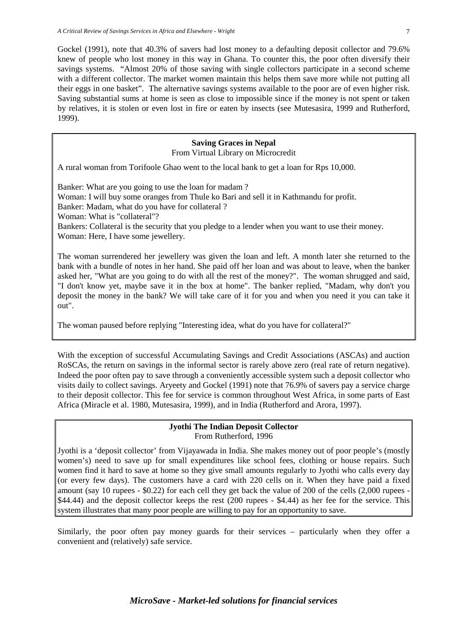Gockel (1991), note that 40.3% of savers had lost money to a defaulting deposit collector and 79.6% knew of people who lost money in this way in Ghana. To counter this, the poor often diversify their savings systems. "Almost 20% of those saving with single collectors participate in a second scheme with a different collector. The market women maintain this helps them save more while not putting all their eggs in one basket". The alternative savings systems available to the poor are of even higher risk. Saving substantial sums at home is seen as close to impossible since if the money is not spent or taken by relatives, it is stolen or even lost in fire or eaten by insects (see Mutesasira, 1999 and Rutherford, 1999).

# **Saving Graces in Nepal**

From Virtual Library on Microcredit

A rural woman from Torifoole Ghao went to the local bank to get a loan for Rps 10,000.

Banker: What are you going to use the loan for madam ? Woman: I will buy some oranges from Thule ko Bari and sell it in Kathmandu for profit. Banker: Madam, what do you have for collateral ? Woman: What is "collateral"? Bankers: Collateral is the security that you pledge to a lender when you want to use their money. Woman: Here, I have some jewellery.

The woman surrendered her jewellery was given the loan and left. A month later she returned to the bank with a bundle of notes in her hand. She paid off her loan and was about to leave, when the banker asked her, "What are you going to do with all the rest of the money?". The woman shrugged and said, "I don't know yet, maybe save it in the box at home". The banker replied, "Madam, why don't you deposit the money in the bank? We will take care of it for you and when you need it you can take it out".

The woman paused before replying "Interesting idea, what do you have for collateral?"

With the exception of successful Accumulating Savings and Credit Associations (ASCAs) and auction RoSCAs, the return on savings in the informal sector is rarely above zero (real rate of return negative). Indeed the poor often pay to save through a conveniently accessible system such a deposit collector who visits daily to collect savings. Aryeety and Gockel (1991) note that 76.9% of savers pay a service charge to their deposit collector. This fee for service is common throughout West Africa, in some parts of East Africa (Miracle et al. 1980, Mutesasira, 1999), and in India (Rutherford and Arora, 1997).

#### **Jyothi The Indian Deposit Collector** From Rutherford, 1996

Jyothi is a 'deposit collector' from Vijayawada in India. She makes money out of poor people's (mostly women's) need to save up for small expenditures like school fees, clothing or house repairs. Such women find it hard to save at home so they give small amounts regularly to Jyothi who calls every day (or every few days). The customers have a card with 220 cells on it. When they have paid a fixed amount (say 10 rupees - \$0.22) for each cell they get back the value of 200 of the cells (2,000 rupees - \$44.44) and the deposit collector keeps the rest (200 rupees - \$4.44) as her fee for the service. This system illustrates that many poor people are willing to pay for an opportunity to save.

Similarly, the poor often pay money guards for their services – particularly when they offer a convenient and (relatively) safe service.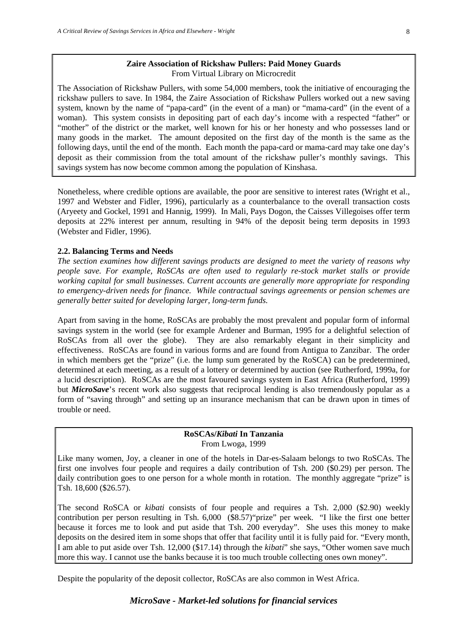#### **Zaire Association of Rickshaw Pullers: Paid Money Guards** From Virtual Library on Microcredit

The Association of Rickshaw Pullers, with some 54,000 members, took the initiative of encouraging the rickshaw pullers to save. In 1984, the Zaire Association of Rickshaw Pullers worked out a new saving system, known by the name of "papa-card" (in the event of a man) or "mama-card" (in the event of a woman). This system consists in depositing part of each day's income with a respected "father" or "mother" of the district or the market, well known for his or her honesty and who possesses land or many goods in the market. The amount deposited on the first day of the month is the same as the following days, until the end of the month. Each month the papa-card or mama-card may take one day's deposit as their commission from the total amount of the rickshaw puller's monthly savings. This savings system has now become common among the population of Kinshasa.

Nonetheless, where credible options are available, the poor are sensitive to interest rates (Wright et al., 1997 and Webster and Fidler, 1996), particularly as a counterbalance to the overall transaction costs (Aryeety and Gockel, 1991 and Hannig, 1999). In Mali, Pays Dogon, the Caisses Villegoises offer term deposits at 22% interest per annum, resulting in 94% of the deposit being term deposits in 1993 (Webster and Fidler, 1996).

#### **2.2. Balancing Terms and Needs**

*The section examines how different savings products are designed to meet the variety of reasons why people save. For example, RoSCAs are often used to regularly re-stock market stalls or provide working capital for small businesses. Current accounts are generally more appropriate for responding to emergency-driven needs for finance. While contractual savings agreements or pension schemes are generally better suited for developing larger, long-term funds.* 

Apart from saving in the home, RoSCAs are probably the most prevalent and popular form of informal savings system in the world (see for example Ardener and Burman, 1995 for a delightful selection of RoSCAs from all over the globe). They are also remarkably elegant in their simplicity and effectiveness. RoSCAs are found in various forms and are found from Antigua to Zanzibar. The order in which members get the "prize" (i.e. the lump sum generated by the RoSCA) can be predetermined, determined at each meeting, as a result of a lottery or determined by auction (see Rutherford, 1999a, for a lucid description). RoSCAs are the most favoured savings system in East Africa (Rutherford, 1999) but *MicroSave*'s recent work also suggests that reciprocal lending is also tremendously popular as a form of "saving through" and setting up an insurance mechanism that can be drawn upon in times of trouble or need.

# **RoSCAs/***Kibati* **In Tanzania** From Lwoga, 1999

Like many women, Joy, a cleaner in one of the hotels in Dar-es-Salaam belongs to two RoSCAs. The first one involves four people and requires a daily contribution of Tsh. 200 (\$0.29) per person. The daily contribution goes to one person for a whole month in rotation. The monthly aggregate "prize" is Tsh. 18,600 (\$26.57).

The second RoSCA or *kibati* consists of four people and requires a Tsh. 2,000 (\$2.90) weekly contribution per person resulting in Tsh. 6,000 (\$8.57)"prize" per week. "I like the first one better because it forces me to look and put aside that Tsh. 200 everyday". She uses this money to make deposits on the desired item in some shops that offer that facility until it is fully paid for. "Every month, I am able to put aside over Tsh. 12,000 (\$17.14) through the *kibati*" she says, "Other women save much more this way. I cannot use the banks because it is too much trouble collecting ones own money".

Despite the popularity of the deposit collector, RoSCAs are also common in West Africa.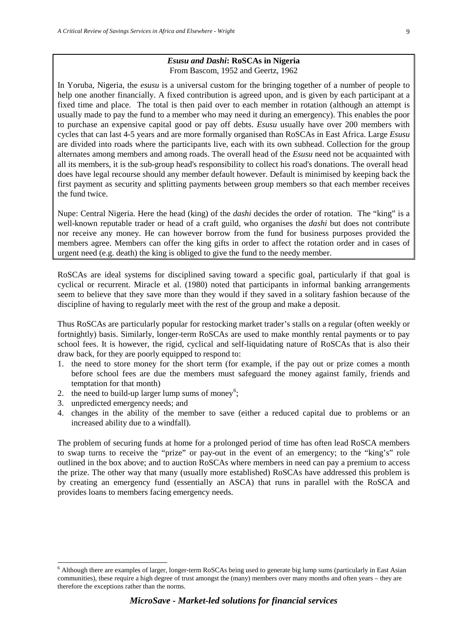#### *Esusu and Dashi***: RoSCAs in Nigeria** From Bascom, 1952 and Geertz, 1962

In Yoruba, Nigeria, the *esusu* is a universal custom for the bringing together of a number of people to help one another financially. A fixed contribution is agreed upon, and is given by each participant at a fixed time and place. The total is then paid over to each member in rotation (although an attempt is usually made to pay the fund to a member who may need it during an emergency). This enables the poor to purchase an expensive capital good or pay off debts. *Esusu* usually have over 200 members with cycles that can last 4-5 years and are more formally organised than RoSCAs in East Africa. Large *Esusu*  are divided into roads where the participants live, each with its own subhead. Collection for the group alternates among members and among roads. The overall head of the *Esusu* need not be acquainted with all its members, it is the sub-group head's responsibility to collect his road's donations. The overall head does have legal recourse should any member default however. Default is minimised by keeping back the first payment as security and splitting payments between group members so that each member receives the fund twice.

Nupe: Central Nigeria. Here the head (king) of the *dashi* decides the order of rotation. The "king" is a well-known reputable trader or head of a craft guild, who organises the *dashi* but does not contribute nor receive any money. He can however borrow from the fund for business purposes provided the members agree. Members can offer the king gifts in order to affect the rotation order and in cases of urgent need (e.g. death) the king is obliged to give the fund to the needy member.

RoSCAs are ideal systems for disciplined saving toward a specific goal, particularly if that goal is cyclical or recurrent. Miracle et al. (1980) noted that participants in informal banking arrangements seem to believe that they save more than they would if they saved in a solitary fashion because of the discipline of having to regularly meet with the rest of the group and make a deposit.

Thus RoSCAs are particularly popular for restocking market trader's stalls on a regular (often weekly or fortnightly) basis. Similarly, longer-term RoSCAs are used to make monthly rental payments or to pay school fees. It is however, the rigid, cyclical and self-liquidating nature of RoSCAs that is also their draw back, for they are poorly equipped to respond to:

- 1. the need to store money for the short term (for example, if the pay out or prize comes a month before school fees are due the members must safeguard the money against family, friends and temptation for that month)
- 2. the need to build-up larger lump sums of money<sup>[6](#page-15-0)</sup>;
- 3. unpredicted emergency needs; and
- 4. changes in the ability of the member to save (either a reduced capital due to problems or an increased ability due to a windfall).

The problem of securing funds at home for a prolonged period of time has often lead RoSCA members to swap turns to receive the "prize" or pay-out in the event of an emergency; to the "king's" role outlined in the box above; and to auction RoSCAs where members in need can pay a premium to access the prize. The other way that many (usually more established) RoSCAs have addressed this problem is by creating an emergency fund (essentially an ASCA) that runs in parallel with the RoSCA and provides loans to members facing emergency needs.

<span id="page-15-0"></span><sup>&</sup>lt;sup>6</sup> Although there are examples of larger, longer-term RoSCAs being used to generate big lump sums (particularly in East Asian communities), these require a high degree of trust amongst the (many) members over many months and often years – they are therefore the exceptions rather than the norms.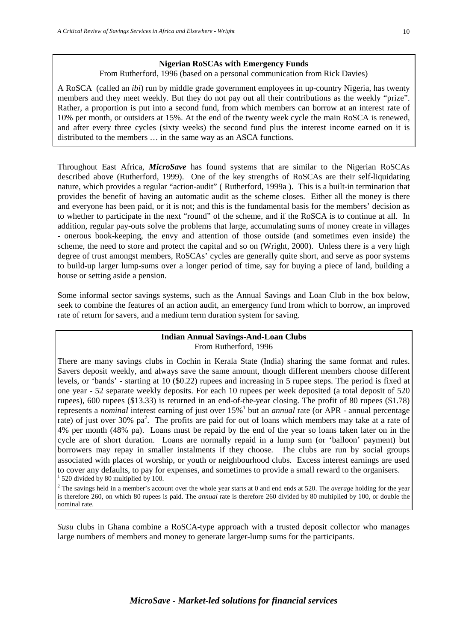#### **Nigerian RoSCAs with Emergency Funds**

From Rutherford, 1996 (based on a personal communication from Rick Davies)

A RoSCA (called an *ibi*) run by middle grade government employees in up-country Nigeria, has twenty members and they meet weekly. But they do not pay out all their contributions as the weekly "prize". Rather, a proportion is put into a second fund, from which members can borrow at an interest rate of 10% per month, or outsiders at 15%. At the end of the twenty week cycle the main RoSCA is renewed, and after every three cycles (sixty weeks) the second fund plus the interest income earned on it is distributed to the members … in the same way as an ASCA functions.

Throughout East Africa, *MicroSave* has found systems that are similar to the Nigerian RoSCAs described above (Rutherford, 1999). One of the key strengths of RoSCAs are their self-liquidating nature, which provides a regular "action-audit" ( Rutherford, 1999a ). This is a built-in termination that provides the benefit of having an automatic audit as the scheme closes. Either all the money is there and everyone has been paid, or it is not; and this is the fundamental basis for the members' decision as to whether to participate in the next "round" of the scheme, and if the RoSCA is to continue at all. In addition, regular pay-outs solve the problems that large, accumulating sums of money create in villages - onerous book-keeping, the envy and attention of those outside (and sometimes even inside) the scheme, the need to store and protect the capital and so on (Wright, 2000). Unless there is a very high degree of trust amongst members, RoSCAs' cycles are generally quite short, and serve as poor systems to build-up larger lump-sums over a longer period of time, say for buying a piece of land, building a house or setting aside a pension.

Some informal sector savings systems, such as the Annual Savings and Loan Club in the box below, seek to combine the features of an action audit, an emergency fund from which to borrow, an improved rate of return for savers, and a medium term duration system for saving.

#### **Indian Annual Savings-And-Loan Clubs** From Rutherford, 1996

There are many savings clubs in Cochin in Kerala State (India) sharing the same format and rules. Savers deposit weekly, and always save the same amount, though different members choose different levels, or 'bands' - starting at 10 (\$0.22) rupees and increasing in 5 rupee steps. The period is fixed at one year - 52 separate weekly deposits. For each 10 rupees per week deposited (a total deposit of 520 rupees), 600 rupees (\$13.33) is returned in an end-of-the-year closing. The profit of 80 rupees (\$1.78) represents a *nominal* interest earning of just over 15%<sup>1</sup> but an *annual* rate (or APR - annual percentage rate) of just over 30%  $pa^2$ . The profits are paid for out of loans which members may take at a rate of 4% per month (48% pa). Loans must be repaid by the end of the year so loans taken later on in the cycle are of short duration. Loans are normally repaid in a lump sum (or 'balloon' payment) but borrowers may repay in smaller instalments if they choose. The clubs are run by social groups associated with places of worship, or youth or neighbourhood clubs. Excess interest earnings are used to cover any defaults, to pay for expenses, and sometimes to provide a small reward to the organisers. <sup>1</sup> 520 divided by 80 multiplied by 100.

<sup>2</sup> The savings held in a member's account over the whole year starts at 0 and end ends at 520. The *average* holding for the year is therefore 260, on which 80 rupees is paid. The *annual* rate is therefore 260 divided by 80 multiplied by 100, or double the nominal rate.

*Susu* clubs in Ghana combine a RoSCA-type approach with a trusted deposit collector who manages large numbers of members and money to generate larger-lump sums for the participants.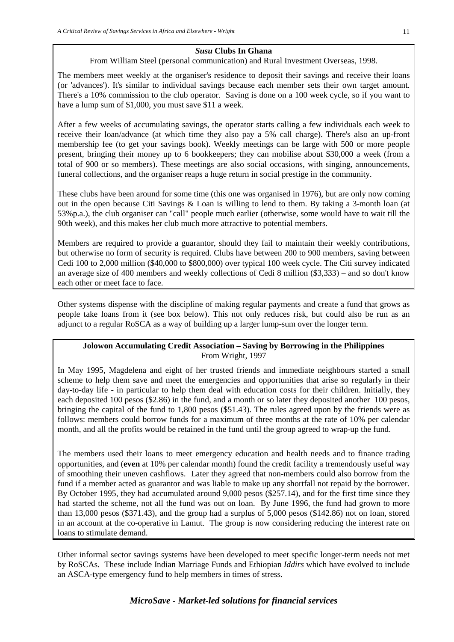# *Susu* **Clubs In Ghana**

From William Steel (personal communication) and Rural Investment Overseas, 1998.

The members meet weekly at the organiser's residence to deposit their savings and receive their loans (or 'advances'). It's similar to individual savings because each member sets their own target amount. There's a 10% commission to the club operator. Saving is done on a 100 week cycle, so if you want to have a lump sum of \$1,000, you must save \$11 a week.

After a few weeks of accumulating savings, the operator starts calling a few individuals each week to receive their loan/advance (at which time they also pay a 5% call charge). There's also an up-front membership fee (to get your savings book). Weekly meetings can be large with 500 or more people present, bringing their money up to 6 bookkeepers; they can mobilise about \$30,000 a week (from a total of 900 or so members). These meetings are also social occasions, with singing, announcements, funeral collections, and the organiser reaps a huge return in social prestige in the community.

These clubs have been around for some time (this one was organised in 1976), but are only now coming out in the open because Citi Savings & Loan is willing to lend to them. By taking a 3-month loan (at 53%p.a.), the club organiser can "call" people much earlier (otherwise, some would have to wait till the 90th week), and this makes her club much more attractive to potential members.

Members are required to provide a guarantor, should they fail to maintain their weekly contributions, but otherwise no form of security is required. Clubs have between 200 to 900 members, saving between Cedi 100 to 2,000 million (\$40,000 to \$800,000) over typical 100 week cycle. The Citi survey indicated an average size of 400 members and weekly collections of Cedi 8 million (\$3,333) – and so don't know each other or meet face to face.

Other systems dispense with the discipline of making regular payments and create a fund that grows as people take loans from it (see box below). This not only reduces risk, but could also be run as an adjunct to a regular RoSCA as a way of building up a larger lump-sum over the longer term.

# **Jolowon Accumulating Credit Association – Saving by Borrowing in the Philippines** From Wright, 1997

In May 1995, Magdelena and eight of her trusted friends and immediate neighbours started a small scheme to help them save and meet the emergencies and opportunities that arise so regularly in their day-to-day life - in particular to help them deal with education costs for their children. Initially, they each deposited 100 pesos (\$2.86) in the fund, and a month or so later they deposited another 100 pesos, bringing the capital of the fund to 1,800 pesos (\$51.43). The rules agreed upon by the friends were as follows: members could borrow funds for a maximum of three months at the rate of 10% per calendar month, and all the profits would be retained in the fund until the group agreed to wrap-up the fund.

The members used their loans to meet emergency education and health needs and to finance trading opportunities, and (**even** at 10% per calendar month) found the credit facility a tremendously useful way of smoothing their uneven cashflows. Later they agreed that non-members could also borrow from the fund if a member acted as guarantor and was liable to make up any shortfall not repaid by the borrower. By October 1995, they had accumulated around 9,000 pesos (\$257.14), and for the first time since they had started the scheme, not all the fund was out on loan. By June 1996, the fund had grown to more than 13,000 pesos (\$371.43), and the group had a surplus of 5,000 pesos (\$142.86) not on loan, stored in an account at the co-operative in Lamut. The group is now considering reducing the interest rate on loans to stimulate demand.

Other informal sector savings systems have been developed to meet specific longer-term needs not met by RoSCAs. These include Indian Marriage Funds and Ethiopian *Iddirs* which have evolved to include an ASCA-type emergency fund to help members in times of stress.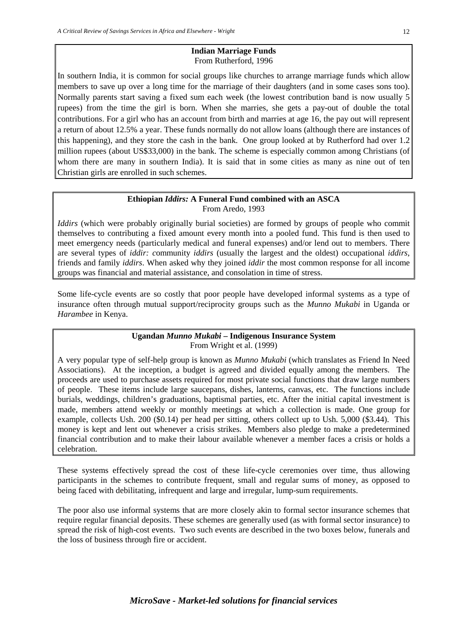#### **Indian Marriage Funds** From Rutherford, 1996

In southern India, it is common for social groups like churches to arrange marriage funds which allow members to save up over a long time for the marriage of their daughters (and in some cases sons too). Normally parents start saving a fixed sum each week (the lowest contribution band is now usually 5 rupees) from the time the girl is born. When she marries, she gets a pay-out of double the total contributions. For a girl who has an account from birth and marries at age 16, the pay out will represent a return of about 12.5% a year. These funds normally do not allow loans (although there are instances of this happening), and they store the cash in the bank. One group looked at by Rutherford had over 1.2 million rupees (about US\$33,000) in the bank. The scheme is especially common among Christians (of whom there are many in southern India). It is said that in some cities as many as nine out of ten Christian girls are enrolled in such schemes.

#### **Ethiopian** *Iddirs:* **A Funeral Fund combined with an ASCA** From Aredo, 1993

*Iddirs* (which were probably originally burial societies) are formed by groups of people who commit themselves to contributing a fixed amount every month into a pooled fund. This fund is then used to meet emergency needs (particularly medical and funeral expenses) and/or lend out to members. There are several types of *iddir: c*ommunity *iddirs* (usually the largest and the oldest) occupational *iddirs*, friends and family *iddirs*. When asked why they joined *iddir* the most common response for all income groups was financial and material assistance, and consolation in time of stress.

Some life-cycle events are so costly that poor people have developed informal systems as a type of insurance often through mutual support/reciprocity groups such as the *Munno Mukabi* in Uganda or *Harambee* in Kenya.

# **Ugandan** *Munno Mukabi* **– Indigenous Insurance System** From Wright et al. (1999)

A very popular type of self-help group is known as *Munno Mukabi* (which translates as Friend In Need Associations). At the inception, a budget is agreed and divided equally among the members. The proceeds are used to purchase assets required for most private social functions that draw large numbers of people. These items include large saucepans, dishes, lanterns, canvas, etc. The functions include burials, weddings, children's graduations, baptismal parties, etc. After the initial capital investment is made, members attend weekly or monthly meetings at which a collection is made. One group for example, collects Ush. 200 (\$0.14) per head per sitting, others collect up to Ush. 5,000 (\$3.44). This money is kept and lent out whenever a crisis strikes. Members also pledge to make a predetermined financial contribution and to make their labour available whenever a member faces a crisis or holds a celebration.

These systems effectively spread the cost of these life-cycle ceremonies over time, thus allowing participants in the schemes to contribute frequent, small and regular sums of money, as opposed to being faced with debilitating, infrequent and large and irregular, lump-sum requirements.

The poor also use informal systems that are more closely akin to formal sector insurance schemes that require regular financial deposits. These schemes are generally used (as with formal sector insurance) to spread the risk of high-cost events. Two such events are described in the two boxes below, funerals and the loss of business through fire or accident.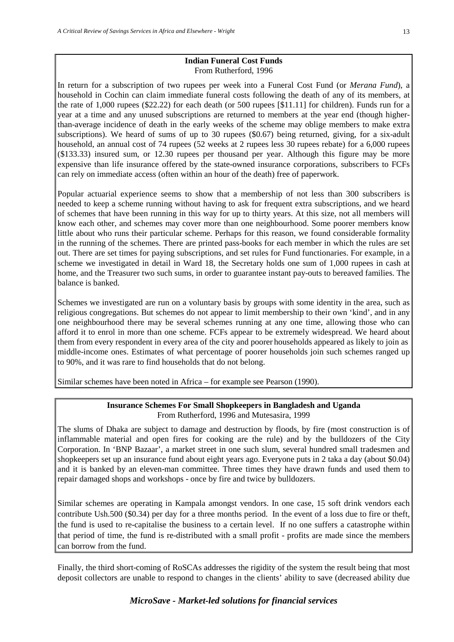#### **Indian Funeral Cost Funds** From Rutherford, 1996

In return for a subscription of two rupees per week into a Funeral Cost Fund (or *Merana Fund*), a household in Cochin can claim immediate funeral costs following the death of any of its members, at the rate of 1,000 rupees (\$22.22) for each death (or 500 rupees [\$11.11] for children). Funds run for a year at a time and any unused subscriptions are returned to members at the year end (though higherthan-average incidence of death in the early weeks of the scheme may oblige members to make extra subscriptions). We heard of sums of up to 30 rupees (\$0.67) being returned, giving, for a six-adult household, an annual cost of 74 rupees (52 weeks at 2 rupees less 30 rupees rebate) for a 6,000 rupees (\$133.33) insured sum, or 12.30 rupees per thousand per year. Although this figure may be more expensive than life insurance offered by the state-owned insurance corporations, subscribers to FCFs can rely on immediate access (often within an hour of the death) free of paperwork.

Popular actuarial experience seems to show that a membership of not less than 300 subscribers is needed to keep a scheme running without having to ask for frequent extra subscriptions, and we heard of schemes that have been running in this way for up to thirty years. At this size, not all members will know each other, and schemes may cover more than one neighbourhood. Some poorer members know little about who runs their particular scheme. Perhaps for this reason, we found considerable formality in the running of the schemes. There are printed pass-books for each member in which the rules are set out. There are set times for paying subscriptions, and set rules for Fund functionaries. For example, in a scheme we investigated in detail in Ward 18, the Secretary holds one sum of 1,000 rupees in cash at home, and the Treasurer two such sums, in order to guarantee instant pay-outs to bereaved families. The balance is banked.

Schemes we investigated are run on a voluntary basis by groups with some identity in the area, such as religious congregations. But schemes do not appear to limit membership to their own 'kind', and in any one neighbourhood there may be several schemes running at any one time, allowing those who can afford it to enrol in more than one scheme. FCFs appear to be extremely widespread. We heard about them from every respondent in every area of the city and poorer households appeared as likely to join as middle-income ones. Estimates of what percentage of poorer households join such schemes ranged up to 90%, and it was rare to find households that do not belong.

Similar schemes have been noted in Africa – for example see Pearson (1990).

# **Insurance Schemes For Small Shopkeepers in Bangladesh and Uganda** From Rutherford, 1996 and Mutesasira, 1999

The slums of Dhaka are subject to damage and destruction by floods, by fire (most construction is of inflammable material and open fires for cooking are the rule) and by the bulldozers of the City Corporation. In 'BNP Bazaar', a market street in one such slum, several hundred small tradesmen and shopkeepers set up an insurance fund about eight years ago. Everyone puts in 2 taka a day (about \$0.04) and it is banked by an eleven-man committee. Three times they have drawn funds and used them to repair damaged shops and workshops - once by fire and twice by bulldozers.

Similar schemes are operating in Kampala amongst vendors. In one case, 15 soft drink vendors each contribute Ush.500 (\$0.34) per day for a three months period. In the event of a loss due to fire or theft, the fund is used to re-capitalise the business to a certain level. If no one suffers a catastrophe within that period of time, the fund is re-distributed with a small profit - profits are made since the members can borrow from the fund.

Finally, the third short-coming of RoSCAs addresses the rigidity of the system the result being that most deposit collectors are unable to respond to changes in the clients' ability to save (decreased ability due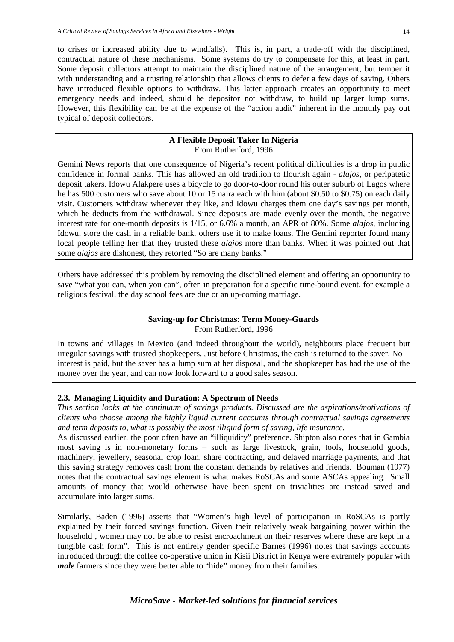to crises or increased ability due to windfalls). This is, in part, a trade-off with the disciplined, contractual nature of these mechanisms. Some systems do try to compensate for this, at least in part. Some deposit collectors attempt to maintain the disciplined nature of the arrangement, but temper it with understanding and a trusting relationship that allows clients to defer a few days of saving. Others have introduced flexible options to withdraw. This latter approach creates an opportunity to meet emergency needs and indeed, should he depositor not withdraw, to build up larger lump sums. However, this flexibility can be at the expense of the "action audit" inherent in the monthly pay out typical of deposit collectors.

#### **A Flexible Deposit Taker In Nigeria** From Rutherford, 1996

Gemini News reports that one consequence of Nigeria's recent political difficulties is a drop in public confidence in formal banks. This has allowed an old tradition to flourish again - *alajos*, or peripatetic deposit takers. Idowu Alakpere uses a bicycle to go door-to-door round his outer suburb of Lagos where he has 500 customers who save about 10 or 15 naira each with him (about \$0.50 to \$0.75) on each daily visit. Customers withdraw whenever they like, and Idowu charges them one day's savings per month, which he deducts from the withdrawal. Since deposits are made evenly over the month, the negative interest rate for one-month deposits is 1/15, or 6.6% a month, an APR of 80%. Some *alajos*, including Idowu, store the cash in a reliable bank, others use it to make loans. The Gemini reporter found many local people telling her that they trusted these *alajos* more than banks. When it was pointed out that some *alajos* are dishonest, they retorted "So are many banks."

Others have addressed this problem by removing the disciplined element and offering an opportunity to save "what you can, when you can", often in preparation for a specific time-bound event, for example a religious festival, the day school fees are due or an up-coming marriage.

# **Saving-up for Christmas: Term Money-Guards** From Rutherford, 1996

In towns and villages in Mexico (and indeed throughout the world), neighbours place frequent but irregular savings with trusted shopkeepers. Just before Christmas, the cash is returned to the saver. No interest is paid, but the saver has a lump sum at her disposal, and the shopkeeper has had the use of the money over the year, and can now look forward to a good sales season.

# **2.3. Managing Liquidity and Duration: A Spectrum of Needs**

*This section looks at the continuum of savings products. Discussed are the aspirations/motivations of clients who choose among the highly liquid current accounts through contractual savings agreements and term deposits to, what is possibly the most illiquid form of saving, life insurance.* 

As discussed earlier, the poor often have an "illiquidity" preference. Shipton also notes that in Gambia most saving is in non-monetary forms – such as large livestock, grain, tools, household goods, machinery, jewellery, seasonal crop loan, share contracting, and delayed marriage payments, and that this saving strategy removes cash from the constant demands by relatives and friends. Bouman (1977) notes that the contractual savings element is what makes RoSCAs and some ASCAs appealing. Small amounts of money that would otherwise have been spent on trivialities are instead saved and accumulate into larger sums.

Similarly, Baden (1996) asserts that "Women's high level of participation in RoSCAs is partly explained by their forced savings function. Given their relatively weak bargaining power within the household , women may not be able to resist encroachment on their reserves where these are kept in a fungible cash form". This is not entirely gender specific Barnes (1996) notes that savings accounts introduced through the coffee co-operative union in Kisii District in Kenya were extremely popular with *male* farmers since they were better able to "hide" money from their families.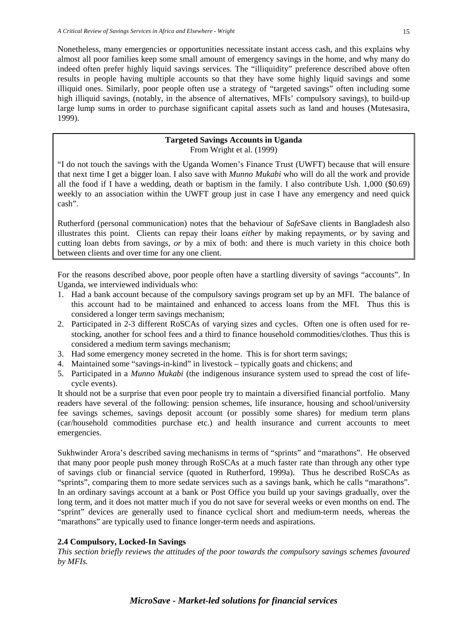Nonetheless, many emergencies or opportunities necessitate instant access cash, and this explains why almost all poor families keep some small amount of emergency savings in the home, and why many do indeed often prefer highly liquid savings services. The "illiquidity" preference described above often results in people having multiple accounts so that they have some highly liquid savings and some illiquid ones. Similarly, poor people often use a strategy of "targeted savings" often including some high illiquid savings, (notably, in the absence of alternatives, MFIs' compulsory savings), to build-up large lump sums in order to purchase significant capital assets such as land and houses (Mutesasira, 1999).

#### **Targeted Savings Accounts in Uganda** From Wright et al. (1999)

"I do not touch the savings with the Uganda Women's Finance Trust (UWFT) because that will ensure that next time I get a bigger loan. I also save with *Munno Mukabi* who will do all the work and provide all the food if I have a wedding, death or baptism in the family. I also contribute Ush. 1,000 (\$0.69) weekly to an association within the UWFT group just in case I have any emergency and need quick cash".

Rutherford (personal communication) notes that the behaviour of *Safe*Save clients in Bangladesh also illustrates this point. Clients can repay their loans *either* by making repayments, *or* by saving and cutting loan debts from savings, *or* by a mix of both: and there is much variety in this choice both between clients and over time for any one client.

For the reasons described above, poor people often have a startling diversity of savings "accounts". In Uganda, we interviewed individuals who:

- 1. Had a bank account because of the compulsory savings program set up by an MFI. The balance of this account had to be maintained and enhanced to access loans from the MFI. Thus this is considered a longer term savings mechanism;
- 2. Participated in 2-3 different RoSCAs of varying sizes and cycles. Often one is often used for restocking, another for school fees and a third to finance household commodities/clothes. Thus this is considered a medium term savings mechanism;
- 3. Had some emergency money secreted in the home. This is for short term savings;
- 4. Maintained some "savings-in-kind" in livestock typically goats and chickens; and
- 5. Participated in a *Munno Mukabi* (the indigenous insurance system used to spread the cost of lifecycle events).

It should not be a surprise that even poor people try to maintain a diversified financial portfolio. Many readers have several of the following: pension schemes, life insurance, housing and school/university fee savings schemes, savings deposit account (or possibly some shares) for medium term plans (car/household commodities purchase etc.) and health insurance and current accounts to meet emergencies.

Sukhwinder Arora's described saving mechanisms in terms of "sprints" and "marathons". He observed that many poor people push money through RoSCAs at a much faster rate than through any other type of savings club or financial service (quoted in Rutherford, 1999a). Thus he described RoSCAs as "sprints", comparing them to more sedate services such as a savings bank, which he calls "marathons". In an ordinary savings account at a bank or Post Office you build up your savings gradually, over the long term, and it does not matter much if you do not save for several weeks or even months on end. The "sprint" devices are generally used to finance cyclical short and medium-term needs, whereas the "marathons" are typically used to finance longer-term needs and aspirations.

# **2.4 Compulsory, Locked-In Savings**

*This section briefly reviews the attitudes of the poor towards the compulsory savings schemes favoured by MFIs.*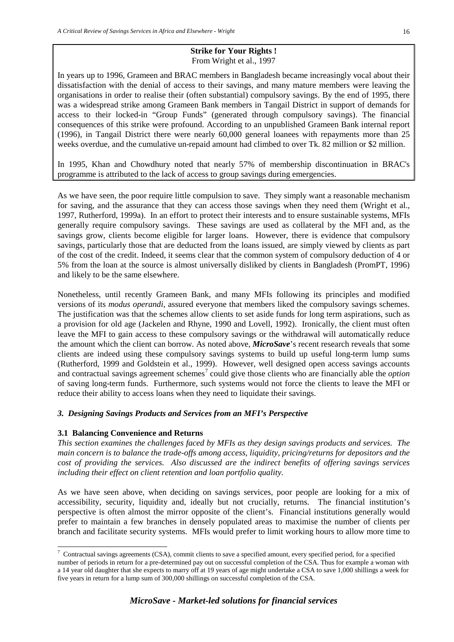#### **Strike for Your Rights !** From Wright et al., 1997

In years up to 1996, Grameen and BRAC members in Bangladesh became increasingly vocal about their dissatisfaction with the denial of access to their savings, and many mature members were leaving the organisations in order to realise their (often substantial) compulsory savings. By the end of 1995, there was a widespread strike among Grameen Bank members in Tangail District in support of demands for access to their locked-in "Group Funds" (generated through compulsory savings). The financial consequences of this strike were profound. According to an unpublished Grameen Bank internal report (1996), in Tangail District there were nearly 60,000 general loanees with repayments more than 25 weeks overdue, and the cumulative un-repaid amount had climbed to over Tk. 82 million or \$2 million.

In 1995, Khan and Chowdhury noted that nearly 57% of membership discontinuation in BRAC's programme is attributed to the lack of access to group savings during emergencies.

As we have seen, the poor require little compulsion to save. They simply want a reasonable mechanism for saving, and the assurance that they can access those savings when they need them (Wright et al., 1997, Rutherford, 1999a). In an effort to protect their interests and to ensure sustainable systems, MFIs generally require compulsory savings. These savings are used as collateral by the MFI and, as the savings grow, clients become eligible for larger loans. However, there is evidence that compulsory savings, particularly those that are deducted from the loans issued, are simply viewed by clients as part of the cost of the credit. Indeed, it seems clear that the common system of compulsory deduction of 4 or 5% from the loan at the source is almost universally disliked by clients in Bangladesh (PromPT, 1996) and likely to be the same elsewhere.

Nonetheless, until recently Grameen Bank, and many MFIs following its principles and modified versions of its *modus operandi*, assured everyone that members liked the compulsory savings schemes. The justification was that the schemes allow clients to set aside funds for long term aspirations, such as a provision for old age (Jackelen and Rhyne, 1990 and Lovell, 1992). Ironically, the client must often leave the MFI to gain access to these compulsory savings or the withdrawal will automatically reduce the amount which the client can borrow. As noted above, *MicroSave*'s recent research reveals that some clients are indeed using these compulsory savings systems to build up useful long-term lump sums (Rutherford, 1999 and Goldstein et al., 1999). However, well designed open access savings accounts and contractual savings agreement schemes<sup>[7](#page-22-0)</sup> could give those clients who are financially able the *option* of saving long-term funds. Furthermore, such systems would not force the clients to leave the MFI or reduce their ability to access loans when they need to liquidate their savings.

# *3. Designing Savings Products and Services from an MFI's Perspective*

#### **3.1 Balancing Convenience and Returns**

*This section examines the challenges faced by MFIs as they design savings products and services. The main concern is to balance the trade-offs among access, liquidity, pricing/returns for depositors and the cost of providing the services. Also discussed are the indirect benefits of offering savings services including their effect on client retention and loan portfolio quality.*

As we have seen above, when deciding on savings services, poor people are looking for a mix of accessibility, security, liquidity and, ideally but not crucially, returns. The financial institution's perspective is often almost the mirror opposite of the client's. Financial institutions generally would prefer to maintain a few branches in densely populated areas to maximise the number of clients per branch and facilitate security systems. MFIs would prefer to limit working hours to allow more time to

<span id="page-22-0"></span><sup>-&</sup>lt;br>7  $7$  Contractual savings agreements (CSA), commit clients to save a specified amount, every specified period, for a specified number of periods in return for a pre-determined pay out on successful completion of the CSA. Thus for example a woman with a 14 year old daughter that she expects to marry off at 19 years of age might undertake a CSA to save 1,000 shillings a week for five years in return for a lump sum of 300,000 shillings on successful completion of the CSA.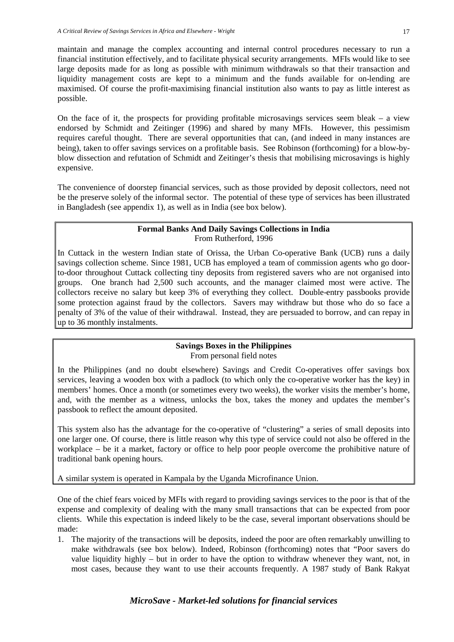maintain and manage the complex accounting and internal control procedures necessary to run a financial institution effectively, and to facilitate physical security arrangements. MFIs would like to see large deposits made for as long as possible with minimum withdrawals so that their transaction and liquidity management costs are kept to a minimum and the funds available for on-lending are maximised. Of course the profit-maximising financial institution also wants to pay as little interest as possible.

On the face of it, the prospects for providing profitable microsavings services seem bleak – a view endorsed by Schmidt and Zeitinger (1996) and shared by many MFIs. However, this pessimism requires careful thought. There are several opportunities that can, (and indeed in many instances are being), taken to offer savings services on a profitable basis. See Robinson (forthcoming) for a blow-byblow dissection and refutation of Schmidt and Zeitinger's thesis that mobilising microsavings is highly expensive.

The convenience of doorstep financial services, such as those provided by deposit collectors, need not be the preserve solely of the informal sector. The potential of these type of services has been illustrated in Bangladesh (see appendix 1), as well as in India (see box below).

#### **Formal Banks And Daily Savings Collections in India** From Rutherford, 1996

In Cuttack in the western Indian state of Orissa, the Urban Co-operative Bank (UCB) runs a daily savings collection scheme. Since 1981, UCB has employed a team of commission agents who go doorto-door throughout Cuttack collecting tiny deposits from registered savers who are not organised into groups. One branch had 2,500 such accounts, and the manager claimed most were active. The collectors receive no salary but keep 3% of everything they collect. Double-entry passbooks provide some protection against fraud by the collectors. Savers may withdraw but those who do so face a penalty of 3% of the value of their withdrawal. Instead, they are persuaded to borrow, and can repay in up to 36 monthly instalments.

#### **Savings Boxes in the Philippines** From personal field notes

In the Philippines (and no doubt elsewhere) Savings and Credit Co-operatives offer savings box services, leaving a wooden box with a padlock (to which only the co-operative worker has the key) in members' homes. Once a month (or sometimes every two weeks), the worker visits the member's home, and, with the member as a witness, unlocks the box, takes the money and updates the member's passbook to reflect the amount deposited.

This system also has the advantage for the co-operative of "clustering" a series of small deposits into one larger one. Of course, there is little reason why this type of service could not also be offered in the workplace – be it a market, factory or office to help poor people overcome the prohibitive nature of traditional bank opening hours.

A similar system is operated in Kampala by the Uganda Microfinance Union.

One of the chief fears voiced by MFIs with regard to providing savings services to the poor is that of the expense and complexity of dealing with the many small transactions that can be expected from poor clients. While this expectation is indeed likely to be the case, several important observations should be made:

1. The majority of the transactions will be deposits, indeed the poor are often remarkably unwilling to make withdrawals (see box below). Indeed, Robinson (forthcoming) notes that "Poor savers do value liquidity highly – but in order to have the option to withdraw whenever they want, not, in most cases, because they want to use their accounts frequently. A 1987 study of Bank Rakyat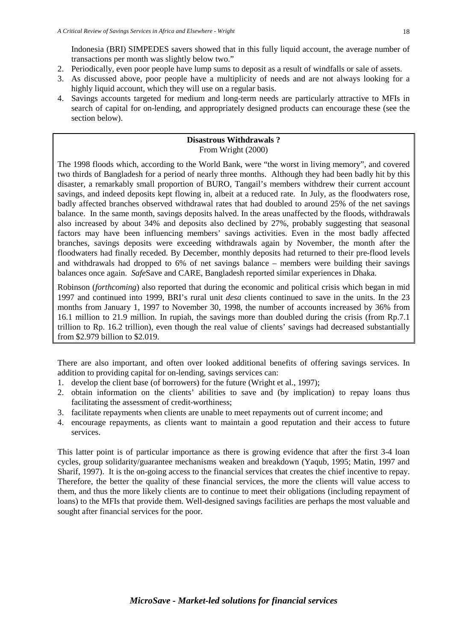Indonesia (BRI) SIMPEDES savers showed that in this fully liquid account, the average number of transactions per month was slightly below two."

- 2. Periodically, even poor people have lump sums to deposit as a result of windfalls or sale of assets.
- 3. As discussed above, poor people have a multiplicity of needs and are not always looking for a highly liquid account, which they will use on a regular basis.
- 4. Savings accounts targeted for medium and long-term needs are particularly attractive to MFIs in search of capital for on-lending, and appropriately designed products can encourage these (see the section below).

# **Disastrous Withdrawals ?** From Wright (2000)

The 1998 floods which, according to the World Bank, were "the worst in living memory", and covered two thirds of Bangladesh for a period of nearly three months. Although they had been badly hit by this disaster, a remarkably small proportion of BURO, Tangail's members withdrew their current account savings, and indeed deposits kept flowing in, albeit at a reduced rate. In July, as the floodwaters rose, badly affected branches observed withdrawal rates that had doubled to around 25% of the net savings balance. In the same month, savings deposits halved. In the areas unaffected by the floods, withdrawals also increased by about 34% and deposits also declined by 27%, probably suggesting that seasonal factors may have been influencing members' savings activities. Even in the most badly affected branches, savings deposits were exceeding withdrawals again by November, the month after the floodwaters had finally receded. By December, monthly deposits had returned to their pre-flood levels and withdrawals had dropped to 6% of net savings balance – members were building their savings balances once again. *Safe*Save and CARE, Bangladesh reported similar experiences in Dhaka.

Robinson (*forthcoming*) also reported that during the economic and political crisis which began in mid 1997 and continued into 1999, BRI's rural unit *desa* clients continued to save in the units. In the 23 months from January 1, 1997 to November 30, 1998, the number of accounts increased by 36% from 16.1 million to 21.9 million. In rupiah, the savings more than doubled during the crisis (from Rp.7.1 trillion to Rp. 16.2 trillion), even though the real value of clients' savings had decreased substantially from \$2.979 billion to \$2.019.

There are also important, and often over looked additional benefits of offering savings services. In addition to providing capital for on-lending, savings services can:

- 1. develop the client base (of borrowers) for the future (Wright et al., 1997);
- 2. obtain information on the clients' abilities to save and (by implication) to repay loans thus facilitating the assessment of credit-worthiness;
- 3. facilitate repayments when clients are unable to meet repayments out of current income; and
- 4. encourage repayments, as clients want to maintain a good reputation and their access to future services.

This latter point is of particular importance as there is growing evidence that after the first 3-4 loan cycles, group solidarity/guarantee mechanisms weaken and breakdown (Yaqub, 1995; Matin, 1997 and Sharif, 1997). It is the on-going access to the financial services that creates the chief incentive to repay. Therefore, the better the quality of these financial services, the more the clients will value access to them, and thus the more likely clients are to continue to meet their obligations (including repayment of loans) to the MFIs that provide them. Well-designed savings facilities are perhaps the most valuable and sought after financial services for the poor.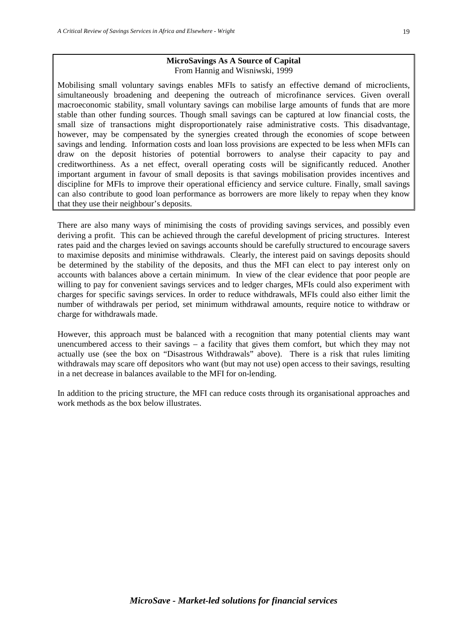#### **MicroSavings As A Source of Capital** From Hannig and Wisniwski, 1999

Mobilising small voluntary savings enables MFIs to satisfy an effective demand of microclients, simultaneously broadening and deepening the outreach of microfinance services. Given overall macroeconomic stability, small voluntary savings can mobilise large amounts of funds that are more stable than other funding sources. Though small savings can be captured at low financial costs, the small size of transactions might disproportionately raise administrative costs. This disadvantage, however, may be compensated by the synergies created through the economies of scope between savings and lending. Information costs and loan loss provisions are expected to be less when MFIs can draw on the deposit histories of potential borrowers to analyse their capacity to pay and creditworthiness. As a net effect, overall operating costs will be significantly reduced. Another important argument in favour of small deposits is that savings mobilisation provides incentives and discipline for MFIs to improve their operational efficiency and service culture. Finally, small savings can also contribute to good loan performance as borrowers are more likely to repay when they know that they use their neighbour's deposits.

There are also many ways of minimising the costs of providing savings services, and possibly even deriving a profit. This can be achieved through the careful development of pricing structures. Interest rates paid and the charges levied on savings accounts should be carefully structured to encourage savers to maximise deposits and minimise withdrawals. Clearly, the interest paid on savings deposits should be determined by the stability of the deposits, and thus the MFI can elect to pay interest only on accounts with balances above a certain minimum. In view of the clear evidence that poor people are willing to pay for convenient savings services and to ledger charges, MFIs could also experiment with charges for specific savings services. In order to reduce withdrawals, MFIs could also either limit the number of withdrawals per period, set minimum withdrawal amounts, require notice to withdraw or charge for withdrawals made.

However, this approach must be balanced with a recognition that many potential clients may want unencumbered access to their savings – a facility that gives them comfort, but which they may not actually use (see the box on "Disastrous Withdrawals" above). There is a risk that rules limiting withdrawals may scare off depositors who want (but may not use) open access to their savings, resulting in a net decrease in balances available to the MFI for on-lending.

In addition to the pricing structure, the MFI can reduce costs through its organisational approaches and work methods as the box below illustrates.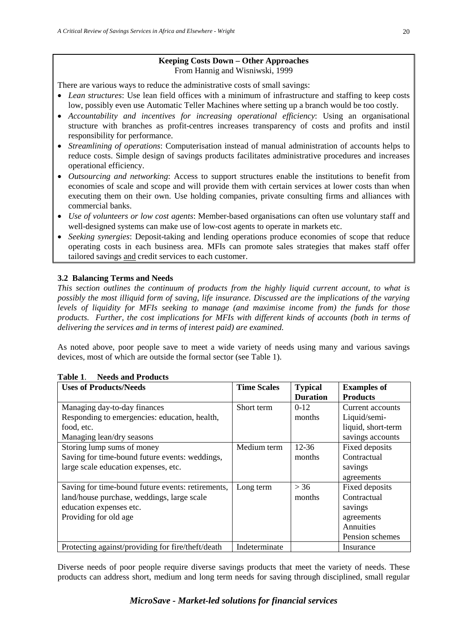# **Keeping Costs Down – Other Approaches** From Hannig and Wisniwski, 1999

There are various ways to reduce the administrative costs of small savings:

- *Lean structures*: Use lean field offices with a minimum of infrastructure and staffing to keep costs low, possibly even use Automatic Teller Machines where setting up a branch would be too costly.
- *Accountability and incentives for increasing operational efficiency*: Using an organisational structure with branches as profit-centres increases transparency of costs and profits and instil responsibility for performance.
- *Streamlining of operations*: Computerisation instead of manual administration of accounts helps to reduce costs. Simple design of savings products facilitates administrative procedures and increases operational efficiency.
- *Outsourcing and networking*: Access to support structures enable the institutions to benefit from economies of scale and scope and will provide them with certain services at lower costs than when executing them on their own. Use holding companies, private consulting firms and alliances with commercial banks.
- *Use of volunteers or low cost agents*: Member-based organisations can often use voluntary staff and well-designed systems can make use of low-cost agents to operate in markets etc.
- *Seeking synergies*: Deposit-taking and lending operations produce economies of scope that reduce operating costs in each business area. MFIs can promote sales strategies that makes staff offer tailored savings and credit services to each customer.

# **3.2 Balancing Terms and Needs**

*This section outlines the continuum of products from the highly liquid current account, to what is possibly the most illiquid form of saving, life insurance. Discussed are the implications of the varying levels of liquidity for MFIs seeking to manage (and maximise income from) the funds for those products. Further, the cost implications for MFIs with different kinds of accounts (both in terms of delivering the services and in terms of interest paid) are examined.* 

As noted above, poor people save to meet a wide variety of needs using many and various savings devices, most of which are outside the formal sector (see Table 1).

| <b>Uses of Products/Needs</b>                     | <b>Time Scales</b> | <b>Typical</b>  | <b>Examples of</b> |
|---------------------------------------------------|--------------------|-----------------|--------------------|
|                                                   |                    | <b>Duration</b> | <b>Products</b>    |
| Managing day-to-day finances                      | Short term         | $0-12$          | Current accounts   |
| Responding to emergencies: education, health,     |                    | months          | Liquid/semi-       |
| food, etc.                                        |                    |                 | liquid, short-term |
| Managing lean/dry seasons                         |                    |                 | savings accounts   |
| Storing lump sums of money                        | Medium term        | $12 - 36$       | Fixed deposits     |
| Saving for time-bound future events: weddings,    |                    | months          | Contractual        |
| large scale education expenses, etc.              |                    |                 | savings            |
|                                                   |                    |                 | agreements         |
| Saving for time-bound future events: retirements, | Long term          | > 36            | Fixed deposits     |
| land/house purchase, weddings, large scale        |                    | months          | Contractual        |
| education expenses etc.                           |                    |                 | savings            |
| Providing for old age                             |                    |                 | agreements         |
|                                                   |                    |                 | Annuities          |
|                                                   |                    |                 | Pension schemes    |
| Protecting against/providing for fire/theft/death | Indeterminate      |                 | Insurance          |

# **Table 1**. **Needs and Products**

Diverse needs of poor people require diverse savings products that meet the variety of needs. These products can address short, medium and long term needs for saving through disciplined, small regular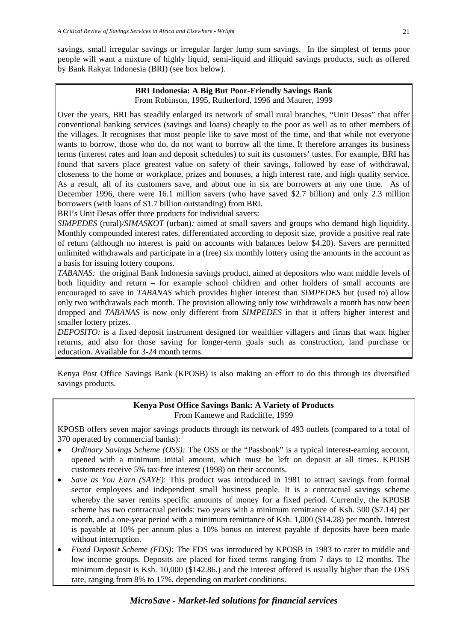savings, small irregular savings or irregular larger lump sum savings. In the simplest of terms poor people will want a mixture of highly liquid, semi-liquid and illiquid savings products, such as offered by Bank Rakyat Indonesia (BRI) (see box below).

#### **BRI Indonesia: A Big But Poor-Friendly Savings Bank** From Robinson, 1995, Rutherford, 1996 and Maurer, 1999

Over the years, BRI has steadily enlarged its network of small rural branches, "Unit Desas" that offer conventional banking services (savings and loans) cheaply to the poor as well as to other members of the villages. It recognises that most people like to save most of the time, and that while not everyone wants to borrow, those who do, do not want to borrow all the time. It therefore arranges its business terms (interest rates and loan and deposit schedules) to suit its customers' tastes. For example, BRI has found that savers place greatest value on safety of their savings, followed by ease of withdrawal, closeness to the home or workplace, prizes and bonuses, a high interest rate, and high quality service. As a result, all of its customers save, and about one in six are borrowers at any one time. As of December 1996, there were 16.1 million savers (who have saved \$2.7 billion) and only 2.3 million borrowers (with loans of \$1.7 billion outstanding) from BRI.

BRI's Unit Desas offer three products for individual savers:

*SIMPEDES* (rural)*/SIMASKOT* (urban)*:* aimed at small savers and groups who demand high liquidity. Monthly compounded interest rates, differentiated according to deposit size, provide a positive real rate of return (although no interest is paid on accounts with balances below \$4.20). Savers are permitted unlimited withdrawals and participate in a (free) six monthly lottery using the amounts in the account as a basis for issuing lottery coupons.

*TABANAS:* the original Bank Indonesia savings product, aimed at depositors who want middle levels of both liquidity and return – for example school children and other holders of small accounts are encouraged to save in *TABANAS* which provides higher interest than *SIMPEDES* but (used to) allow only two withdrawals each month. The provision allowing only tow withdrawals a month has now been dropped and *TABANAS* is now only different from *SIMPEDES* in that it offers higher interest and smaller lottery prizes.

*DEPOSITO:* is a fixed deposit instrument designed for wealthier villagers and firms that want higher returns, and also for those saving for longer-term goals such as construction, land purchase or education. Available for 3-24 month terms.

Kenya Post Office Savings Bank (KPOSB) is also making an effort to do this through its diversified savings products.

# **Kenya Post Office Savings Bank: A Variety of Products** From Kamewe and Radcliffe, 1999

KPOSB offers seven major savings products through its network of 493 outlets (compared to a total of 370 operated by commercial banks):

- *Ordinary Savings Scheme (OSS):* The OSS or the "Passbook" is a typical interest-earning account, opened with a minimum initial amount, which must be left on deposit at all times. KPOSB customers receive 5% tax-free interest (1998) on their accounts.
- *Save as You Earn (SAYE)*: This product was introduced in 1981 to attract savings from formal sector employees and independent small business people. It is a contractual savings scheme whereby the saver remits specific amounts of money for a fixed period. Currently, the KPOSB scheme has two contractual periods: two years with a minimum remittance of Ksh. 500 (\$7.14) per month, and a one-year period with a minimum remittance of Ksh. 1,000 (\$14.28) per month. Interest is payable at 10% per annum plus a 10% bonus on interest payable if deposits have been made without interruption.
- *Fixed Deposit Scheme (FDS):* The FDS was introduced by KPOSB in 1983 to cater to middle and low income groups. Deposits are placed for fixed terms ranging from 7 days to 12 months. The minimum deposit is Ksh. 10,000 (\$142.86.) and the interest offered is usually higher than the OSS rate, ranging from 8% to 17%, depending on market conditions.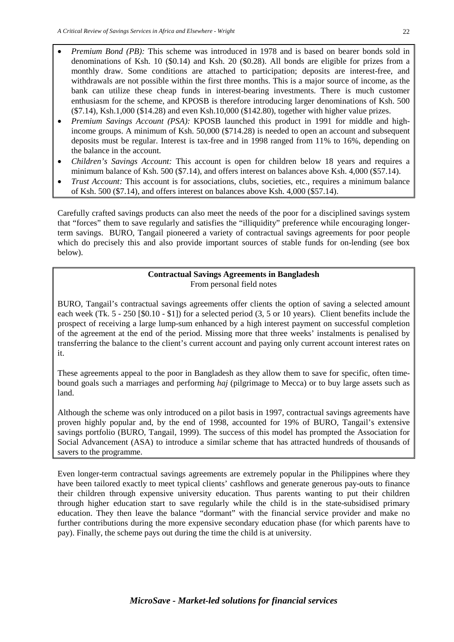- *Premium Bond (PB):* This scheme was introduced in 1978 and is based on bearer bonds sold in denominations of Ksh. 10 (\$0.14) and Ksh. 20 (\$0.28). All bonds are eligible for prizes from a monthly draw. Some conditions are attached to participation; deposits are interest-free, and withdrawals are not possible within the first three months. This is a major source of income, as the bank can utilize these cheap funds in interest-bearing investments. There is much customer enthusiasm for the scheme, and KPOSB is therefore introducing larger denominations of Ksh. 500 (\$7.14), Ksh.1,000 (\$14.28) and even Ksh.10,000 (\$142.80), together with higher value prizes.
- *Premium Savings Account (PSA):* KPOSB launched this product in 1991 for middle and highincome groups. A minimum of Ksh. 50,000 (\$714.28) is needed to open an account and subsequent deposits must be regular. Interest is tax-free and in 1998 ranged from 11% to 16%, depending on the balance in the account.
- *Children's Savings Account:* This account is open for children below 18 years and requires a minimum balance of Ksh. 500 (\$7.14), and offers interest on balances above Ksh. 4,000 (\$57.14).
- *Trust Account:* This account is for associations, clubs, societies, etc., requires a minimum balance of Ksh. 500 (\$7.14), and offers interest on balances above Ksh. 4,000 (\$57.14).

Carefully crafted savings products can also meet the needs of the poor for a disciplined savings system that "forces" them to save regularly and satisfies the "illiquidity" preference while encouraging longerterm savings. BURO, Tangail pioneered a variety of contractual savings agreements for poor people which do precisely this and also provide important sources of stable funds for on-lending (see box below).

# **Contractual Savings Agreements in Bangladesh** From personal field notes

BURO, Tangail's contractual savings agreements offer clients the option of saving a selected amount each week (Tk. 5 - 250 [\$0.10 - \$1]) for a selected period (3, 5 or 10 years). Client benefits include the prospect of receiving a large lump-sum enhanced by a high interest payment on successful completion of the agreement at the end of the period. Missing more that three weeks' instalments is penalised by transferring the balance to the client's current account and paying only current account interest rates on it.

These agreements appeal to the poor in Bangladesh as they allow them to save for specific, often timebound goals such a marriages and performing *haj* (pilgrimage to Mecca) or to buy large assets such as land.

Although the scheme was only introduced on a pilot basis in 1997, contractual savings agreements have proven highly popular and, by the end of 1998, accounted for 19% of BURO, Tangail's extensive savings portfolio (BURO, Tangail, 1999). The success of this model has prompted the Association for Social Advancement (ASA) to introduce a similar scheme that has attracted hundreds of thousands of savers to the programme.

Even longer-term contractual savings agreements are extremely popular in the Philippines where they have been tailored exactly to meet typical clients' cashflows and generate generous pay-outs to finance their children through expensive university education. Thus parents wanting to put their children through higher education start to save regularly while the child is in the state-subsidised primary education. They then leave the balance "dormant" with the financial service provider and make no further contributions during the more expensive secondary education phase (for which parents have to pay). Finally, the scheme pays out during the time the child is at university.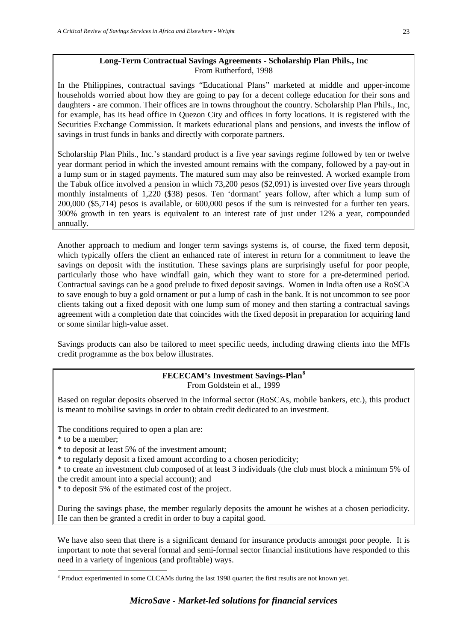# **Long-Term Contractual Savings Agreements - Scholarship Plan Phils., Inc** From Rutherford, 1998

In the Philippines, contractual savings "Educational Plans" marketed at middle and upper-income households worried about how they are going to pay for a decent college education for their sons and daughters - are common. Their offices are in towns throughout the country. Scholarship Plan Phils., Inc, for example, has its head office in Quezon City and offices in forty locations. It is registered with the Securities Exchange Commission. It markets educational plans and pensions, and invests the inflow of savings in trust funds in banks and directly with corporate partners.

Scholarship Plan Phils., Inc.'s standard product is a five year savings regime followed by ten or twelve year dormant period in which the invested amount remains with the company, followed by a pay-out in a lump sum or in staged payments. The matured sum may also be reinvested. A worked example from the Tabuk office involved a pension in which 73,200 pesos (\$2,091) is invested over five years through monthly instalments of 1,220 (\$38) pesos. Ten 'dormant' years follow, after which a lump sum of 200,000 (\$5,714) pesos is available, or 600,000 pesos if the sum is reinvested for a further ten years. 300% growth in ten years is equivalent to an interest rate of just under 12% a year, compounded annually.

Another approach to medium and longer term savings systems is, of course, the fixed term deposit, which typically offers the client an enhanced rate of interest in return for a commitment to leave the savings on deposit with the institution. These savings plans are surprisingly useful for poor people, particularly those who have windfall gain, which they want to store for a pre-determined period. Contractual savings can be a good prelude to fixed deposit savings. Women in India often use a RoSCA to save enough to buy a gold ornament or put a lump of cash in the bank. It is not uncommon to see poor clients taking out a fixed deposit with one lump sum of money and then starting a contractual savings agreement with a completion date that coincides with the fixed deposit in preparation for acquiring land or some similar high-value asset.

Savings products can also be tailored to meet specific needs, including drawing clients into the MFIs credit programme as the box below illustrates.

# **FECECAM's Investment Savings-Plan[8](#page-29-0)**

From Goldstein et al., 1999

Based on regular deposits observed in the informal sector (RoSCAs, mobile bankers, etc.), this product is meant to mobilise savings in order to obtain credit dedicated to an investment.

The conditions required to open a plan are:

\* to be a member;

\* to deposit at least 5% of the investment amount;

\* to regularly deposit a fixed amount according to a chosen periodicity;

\* to create an investment club composed of at least 3 individuals (the club must block a minimum 5% of the credit amount into a special account); and

\* to deposit 5% of the estimated cost of the project.

During the savings phase, the member regularly deposits the amount he wishes at a chosen periodicity. He can then be granted a credit in order to buy a capital good.

We have also seen that there is a significant demand for insurance products amongst poor people. It is important to note that several formal and semi-formal sector financial institutions have responded to this need in a variety of ingenious (and profitable) ways.

<span id="page-29-0"></span> <sup>8</sup> Product experimented in some CLCAMs during the last 1998 quarter; the first results are not known yet.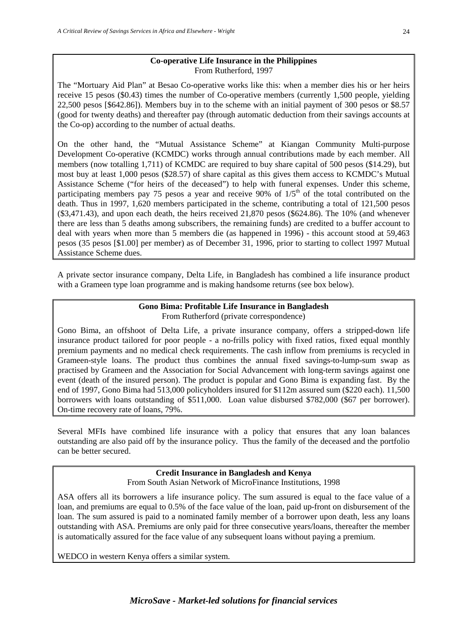# **Co-operative Life Insurance in the Philippines** From Rutherford, 1997

The "Mortuary Aid Plan" at Besao Co-operative works like this: when a member dies his or her heirs receive 15 pesos (\$0.43) times the number of Co-operative members (currently 1,500 people, yielding 22,500 pesos [\$642.86]). Members buy in to the scheme with an initial payment of 300 pesos or \$8.57 (good for twenty deaths) and thereafter pay (through automatic deduction from their savings accounts at the Co-op) according to the number of actual deaths.

On the other hand, the "Mutual Assistance Scheme" at Kiangan Community Multi-purpose Development Co-operative (KCMDC) works through annual contributions made by each member. All members (now totalling 1,711) of KCMDC are required to buy share capital of 500 pesos (\$14.29), but most buy at least 1,000 pesos (\$28.57) of share capital as this gives them access to KCMDC's Mutual Assistance Scheme ("for heirs of the deceased") to help with funeral expenses. Under this scheme, participating members pay 75 pesos a year and receive 90% of  $1/5<sup>th</sup>$  of the total contributed on the death. Thus in 1997, 1,620 members participated in the scheme, contributing a total of 121,500 pesos (\$3,471.43), and upon each death, the heirs received 21,870 pesos (\$624.86). The 10% (and whenever there are less than 5 deaths among subscribers, the remaining funds) are credited to a buffer account to deal with years when more than 5 members die (as happened in 1996) - this account stood at 59,463 pesos (35 pesos [\$1.00] per member) as of December 31, 1996, prior to starting to collect 1997 Mutual Assistance Scheme dues.

A private sector insurance company, Delta Life, in Bangladesh has combined a life insurance product with a Grameen type loan programme and is making handsome returns (see box below).

# **Gono Bima: Profitable Life Insurance in Bangladesh**

From Rutherford (private correspondence)

Gono Bima, an offshoot of Delta Life, a private insurance company, offers a stripped-down life insurance product tailored for poor people - a no-frills policy with fixed ratios, fixed equal monthly premium payments and no medical check requirements. The cash inflow from premiums is recycled in Grameen-style loans. The product thus combines the annual fixed savings-to-lump-sum swap as practised by Grameen and the Association for Social Advancement with long-term savings against one event (death of the insured person). The product is popular and Gono Bima is expanding fast. By the end of 1997, Gono Bima had 513,000 policyholders insured for \$112m assured sum (\$220 each). 11,500 borrowers with loans outstanding of \$511,000. Loan value disbursed \$782,000 (\$67 per borrower). On-time recovery rate of loans, 79%.

Several MFIs have combined life insurance with a policy that ensures that any loan balances outstanding are also paid off by the insurance policy. Thus the family of the deceased and the portfolio can be better secured.

# **Credit Insurance in Bangladesh and Kenya**

From South Asian Network of MicroFinance Institutions, 1998

ASA offers all its borrowers a life insurance policy. The sum assured is equal to the face value of a loan, and premiums are equal to 0.5% of the face value of the loan, paid up-front on disbursement of the loan. The sum assured is paid to a nominated family member of a borrower upon death, less any loans outstanding with ASA. Premiums are only paid for three consecutive years/loans, thereafter the member is automatically assured for the face value of any subsequent loans without paying a premium.

WEDCO in western Kenya offers a similar system.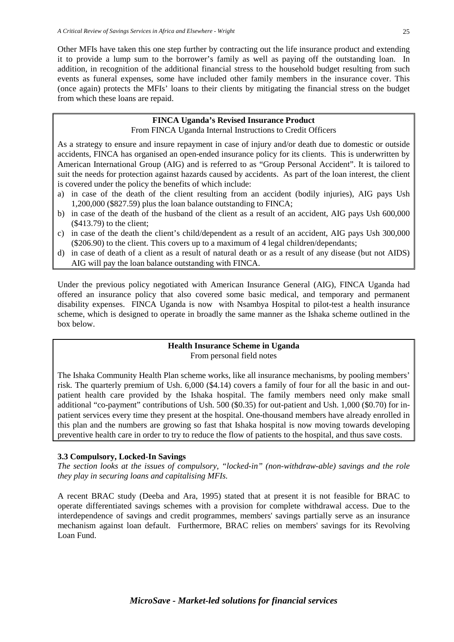Other MFIs have taken this one step further by contracting out the life insurance product and extending it to provide a lump sum to the borrower's family as well as paying off the outstanding loan. In addition, in recognition of the additional financial stress to the household budget resulting from such events as funeral expenses, some have included other family members in the insurance cover. This (once again) protects the MFIs' loans to their clients by mitigating the financial stress on the budget from which these loans are repaid.

# **FINCA Uganda's Revised Insurance Product**

From FINCA Uganda Internal Instructions to Credit Officers

As a strategy to ensure and insure repayment in case of injury and/or death due to domestic or outside accidents, FINCA has organised an open-ended insurance policy for its clients. This is underwritten by American International Group (AIG) and is referred to as "Group Personal Accident". It is tailored to suit the needs for protection against hazards caused by accidents. As part of the loan interest, the client is covered under the policy the benefits of which include:

- a) in case of the death of the client resulting from an accident (bodily injuries), AIG pays Ush 1,200,000 (\$827.59) plus the loan balance outstanding to FINCA;
- b) in case of the death of the husband of the client as a result of an accident, AIG pays Ush 600,000 (\$413.79) to the client;
- c) in case of the death the client's child/dependent as a result of an accident, AIG pays Ush 300,000 (\$206.90) to the client. This covers up to a maximum of 4 legal children/dependants;
- d) in case of death of a client as a result of natural death or as a result of any disease (but not AIDS) AIG will pay the loan balance outstanding with FINCA.

Under the previous policy negotiated with American Insurance General (AIG), FINCA Uganda had offered an insurance policy that also covered some basic medical, and temporary and permanent disability expenses. FINCA Uganda is now with Nsambya Hospital to pilot-test a health insurance scheme, which is designed to operate in broadly the same manner as the Ishaka scheme outlined in the box below.

#### **Health Insurance Scheme in Uganda** From personal field notes

The Ishaka Community Health Plan scheme works, like all insurance mechanisms, by pooling members' risk. The quarterly premium of Ush. 6,000 (\$4.14) covers a family of four for all the basic in and outpatient health care provided by the Ishaka hospital. The family members need only make small additional "co-payment" contributions of Ush. 500 (\$0.35) for out-patient and Ush. 1,000 (\$0.70) for inpatient services every time they present at the hospital. One-thousand members have already enrolled in this plan and the numbers are growing so fast that Ishaka hospital is now moving towards developing preventive health care in order to try to reduce the flow of patients to the hospital, and thus save costs.

# **3.3 Compulsory, Locked-In Savings**

*The section looks at the issues of compulsory, "locked-in" (non-withdraw-able) savings and the role they play in securing loans and capitalising MFIs.*

A recent BRAC study (Deeba and Ara, 1995) stated that at present it is not feasible for BRAC to operate differentiated savings schemes with a provision for complete withdrawal access. Due to the interdependence of savings and credit programmes, members' savings partially serve as an insurance mechanism against loan default. Furthermore, BRAC relies on members' savings for its Revolving Loan Fund.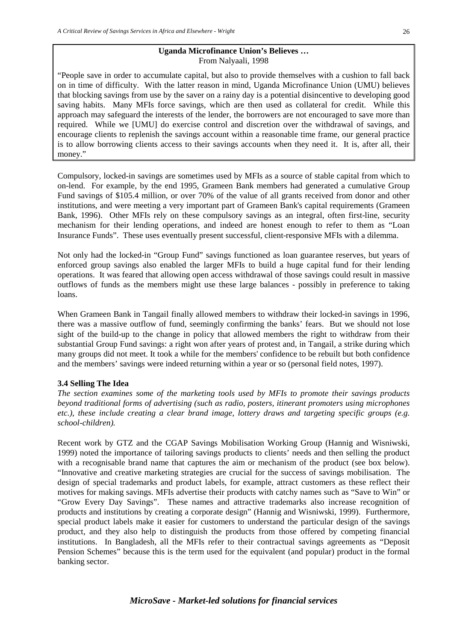#### **Uganda Microfinance Union's Believes …** From Nalyaali, 1998

"People save in order to accumulate capital, but also to provide themselves with a cushion to fall back on in time of difficulty. With the latter reason in mind, Uganda Microfinance Union (UMU) believes that blocking savings from use by the saver on a rainy day is a potential disincentive to developing good saving habits. Many MFIs force savings, which are then used as collateral for credit. While this approach may safeguard the interests of the lender, the borrowers are not encouraged to save more than required. While we [UMU] do exercise control and discretion over the withdrawal of savings, and encourage clients to replenish the savings account within a reasonable time frame, our general practice is to allow borrowing clients access to their savings accounts when they need it. It is, after all, their money."

Compulsory, locked-in savings are sometimes used by MFIs as a source of stable capital from which to on-lend. For example, by the end 1995, Grameen Bank members had generated a cumulative Group Fund savings of \$105.4 million, or over 70% of the value of all grants received from donor and other institutions, and were meeting a very important part of Grameen Bank's capital requirements (Grameen Bank, 1996). Other MFIs rely on these compulsory savings as an integral, often first-line, security mechanism for their lending operations, and indeed are honest enough to refer to them as "Loan Insurance Funds". These uses eventually present successful, client-responsive MFIs with a dilemma.

Not only had the locked-in "Group Fund" savings functioned as loan guarantee reserves, but years of enforced group savings also enabled the larger MFIs to build a huge capital fund for their lending operations. It was feared that allowing open access withdrawal of those savings could result in massive outflows of funds as the members might use these large balances - possibly in preference to taking loans.

When Grameen Bank in Tangail finally allowed members to withdraw their locked-in savings in 1996, there was a massive outflow of fund, seemingly confirming the banks' fears. But we should not lose sight of the build-up to the change in policy that allowed members the right to withdraw from their substantial Group Fund savings: a right won after years of protest and, in Tangail, a strike during which many groups did not meet. It took a while for the members' confidence to be rebuilt but both confidence and the members' savings were indeed returning within a year or so (personal field notes, 1997).

# **3.4 Selling The Idea**

*The section examines some of the marketing tools used by MFIs to promote their savings products beyond traditional forms of advertising (such as radio, posters, itinerant promoters using microphones etc.), these include creating a clear brand image, lottery draws and targeting specific groups (e.g. school-children).*

Recent work by GTZ and the CGAP Savings Mobilisation Working Group (Hannig and Wisniwski, 1999) noted the importance of tailoring savings products to clients' needs and then selling the product with a recognisable brand name that captures the aim or mechanism of the product (see box below). "Innovative and creative marketing strategies are crucial for the success of savings mobilisation. The design of special trademarks and product labels, for example, attract customers as these reflect their motives for making savings. MFIs advertise their products with catchy names such as "Save to Win" or "Grow Every Day Savings". These names and attractive trademarks also increase recognition of products and institutions by creating a corporate design" (Hannig and Wisniwski, 1999). Furthermore, special product labels make it easier for customers to understand the particular design of the savings product, and they also help to distinguish the products from those offered by competing financial institutions. In Bangladesh, all the MFIs refer to their contractual savings agreements as "Deposit Pension Schemes" because this is the term used for the equivalent (and popular) product in the formal banking sector.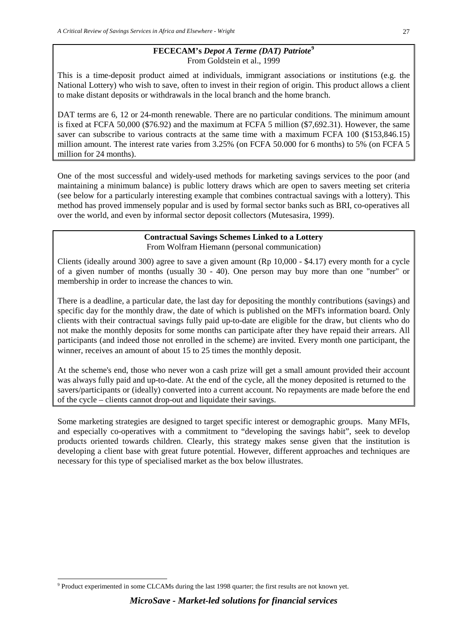# **FECECAM's** *Depot A Terme (DAT) Patriote***[9](#page-33-0)** From Goldstein et al., 1999

This is a time-deposit product aimed at individuals, immigrant associations or institutions (e.g. the National Lottery) who wish to save, often to invest in their region of origin. This product allows a client to make distant deposits or withdrawals in the local branch and the home branch.

DAT terms are 6, 12 or 24-month renewable. There are no particular conditions. The minimum amount is fixed at FCFA 50,000 (\$76.92) and the maximum at FCFA 5 million (\$7,692.31). However, the same saver can subscribe to various contracts at the same time with a maximum FCFA 100 (\$153,846.15) million amount. The interest rate varies from 3.25% (on FCFA 50.000 for 6 months) to 5% (on FCFA 5 million for 24 months).

One of the most successful and widely-used methods for marketing savings services to the poor (and maintaining a minimum balance) is public lottery draws which are open to savers meeting set criteria (see below for a particularly interesting example that combines contractual savings with a lottery). This method has proved immensely popular and is used by formal sector banks such as BRI, co-operatives all over the world, and even by informal sector deposit collectors (Mutesasira, 1999).

# **Contractual Savings Schemes Linked to a Lottery** From Wolfram Hiemann (personal communication)

Clients (ideally around 300) agree to save a given amount (Rp 10,000 - \$4.17) every month for a cycle of a given number of months (usually 30 - 40). One person may buy more than one "number" or membership in order to increase the chances to win.

There is a deadline, a particular date, the last day for depositing the monthly contributions (savings) and specific day for the monthly draw, the date of which is published on the MFI's information board. Only clients with their contractual savings fully paid up-to-date are eligible for the draw, but clients who do not make the monthly deposits for some months can participate after they have repaid their arrears. All participants (and indeed those not enrolled in the scheme) are invited. Every month one participant, the winner, receives an amount of about 15 to 25 times the monthly deposit.

At the scheme's end, those who never won a cash prize will get a small amount provided their account was always fully paid and up-to-date. At the end of the cycle, all the money deposited is returned to the savers/participants or (ideally) converted into a current account. No repayments are made before the end of the cycle – clients cannot drop-out and liquidate their savings.

Some marketing strategies are designed to target specific interest or demographic groups. Many MFIs, and especially co-operatives with a commitment to "developing the savings habit", seek to develop products oriented towards children. Clearly, this strategy makes sense given that the institution is developing a client base with great future potential. However, different approaches and techniques are necessary for this type of specialised market as the box below illustrates.

<span id="page-33-0"></span> <sup>9</sup> Product experimented in some CLCAMs during the last 1998 quarter; the first results are not known yet.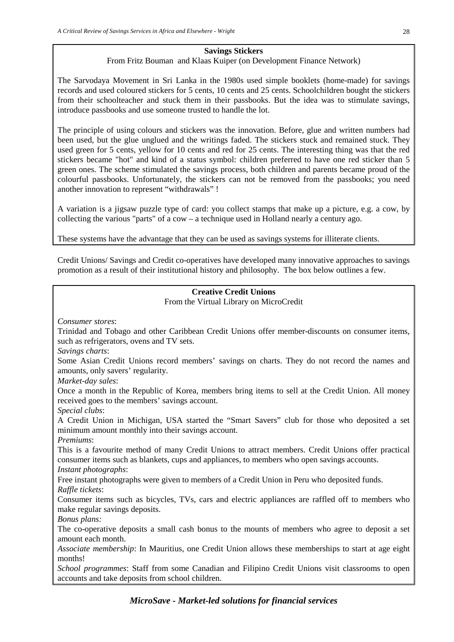# **Savings Stickers**

# From Fritz Bouman and Klaas Kuiper (on Development Finance Network)

The Sarvodaya Movement in Sri Lanka in the 1980s used simple booklets (home-made) for savings records and used coloured stickers for 5 cents, 10 cents and 25 cents. Schoolchildren bought the stickers from their schoolteacher and stuck them in their passbooks. But the idea was to stimulate savings, introduce passbooks and use someone trusted to handle the lot.

The principle of using colours and stickers was the innovation. Before, glue and written numbers had been used, but the glue unglued and the writings faded. The stickers stuck and remained stuck. They used green for 5 cents, yellow for 10 cents and red for 25 cents. The interesting thing was that the red stickers became "hot" and kind of a status symbol: children preferred to have one red sticker than 5 green ones. The scheme stimulated the savings process, both children and parents became proud of the colourful passbooks. Unfortunately, the stickers can not be removed from the passbooks; you need another innovation to represent "withdrawals" !

A variation is a jigsaw puzzle type of card: you collect stamps that make up a picture, e.g. a cow, by collecting the various "parts" of a cow – a technique used in Holland nearly a century ago.

These systems have the advantage that they can be used as savings systems for illiterate clients.

Credit Unions/ Savings and Credit co-operatives have developed many innovative approaches to savings promotion as a result of their institutional history and philosophy. The box below outlines a few.

# **Creative Credit Unions**

From the Virtual Library on MicroCredit

*Consumer stores*:

Trinidad and Tobago and other Caribbean Credit Unions offer member-discounts on consumer items, such as refrigerators, ovens and TV sets.

*Savings charts*:

Some Asian Credit Unions record members' savings on charts. They do not record the names and amounts, only savers' regularity.

*Market-day sales*:

Once a month in the Republic of Korea, members bring items to sell at the Credit Union. All money received goes to the members' savings account.

*Special clubs*:

A Credit Union in Michigan, USA started the "Smart Savers" club for those who deposited a set minimum amount monthly into their savings account.

*Premiums*:

This is a favourite method of many Credit Unions to attract members. Credit Unions offer practical consumer items such as blankets, cups and appliances, to members who open savings accounts. *Instant photographs*:

Free instant photographs were given to members of a Credit Union in Peru who deposited funds. *Raffle tickets*:

Consumer items such as bicycles, TVs, cars and electric appliances are raffled off to members who make regular savings deposits.

*Bonus plans:*

The co-operative deposits a small cash bonus to the mounts of members who agree to deposit a set amount each month.

*Associate membership*: In Mauritius, one Credit Union allows these memberships to start at age eight months!

*School programmes*: Staff from some Canadian and Filipino Credit Unions visit classrooms to open accounts and take deposits from school children.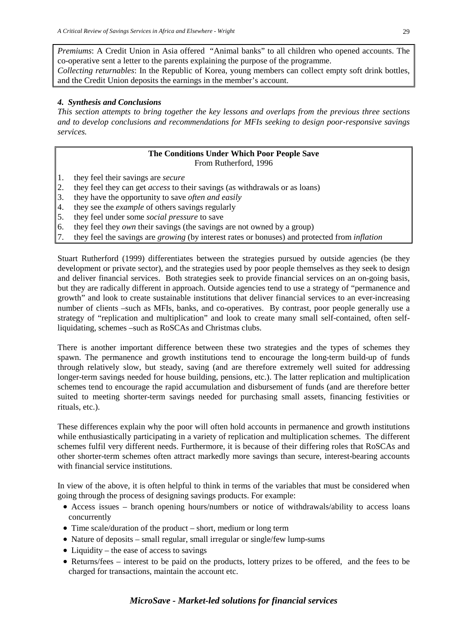*Premiums*: A Credit Union in Asia offered "Animal banks" to all children who opened accounts. The co-operative sent a letter to the parents explaining the purpose of the programme.

*Collecting returnables*: In the Republic of Korea, young members can collect empty soft drink bottles, and the Credit Union deposits the earnings in the member's account.

# *4. Synthesis and Conclusions*

*This section attempts to bring together the key lessons and overlaps from the previous three sections and to develop conclusions and recommendations for MFIs seeking to design poor-responsive savings services.*

#### **The Conditions Under Which Poor People Save** From Rutherford, 1996

- 1. they feel their savings are *secure*
- 2. they feel they can get *access* to their savings (as withdrawals or as loans)
- 3. they have the opportunity to save *often and easily*
- 4. they see the *example* of others savings regularly
- 5. they feel under some *social pressure* to save
- 6. they feel they *own* their savings (the savings are not owned by a group)
- 7. they feel the savings are *growing* (by interest rates or bonuses) and protected from *inflation*

Stuart Rutherford (1999) differentiates between the strategies pursued by outside agencies (be they development or private sector), and the strategies used by poor people themselves as they seek to design and deliver financial services. Both strategies seek to provide financial services on an on-going basis, but they are radically different in approach. Outside agencies tend to use a strategy of "permanence and growth" and look to create sustainable institutions that deliver financial services to an ever-increasing number of clients –such as MFIs, banks, and co-operatives. By contrast, poor people generally use a strategy of "replication and multiplication" and look to create many small self-contained, often selfliquidating, schemes –such as RoSCAs and Christmas clubs.

There is another important difference between these two strategies and the types of schemes they spawn. The permanence and growth institutions tend to encourage the long-term build-up of funds through relatively slow, but steady, saving (and are therefore extremely well suited for addressing longer-term savings needed for house building, pensions, etc.). The latter replication and multiplication schemes tend to encourage the rapid accumulation and disbursement of funds (and are therefore better suited to meeting shorter-term savings needed for purchasing small assets, financing festivities or rituals, etc.).

These differences explain why the poor will often hold accounts in permanence and growth institutions while enthusiastically participating in a variety of replication and multiplication schemes. The different schemes fulfil very different needs. Furthermore, it is because of their differing roles that RoSCAs and other shorter-term schemes often attract markedly more savings than secure, interest-bearing accounts with financial service institutions.

In view of the above, it is often helpful to think in terms of the variables that must be considered when going through the process of designing savings products. For example:

- Access issues branch opening hours/numbers or notice of withdrawals/ability to access loans concurrently
- Time scale/duration of the product short, medium or long term
- Nature of deposits small regular, small irregular or single/few lump-sums
- Liquidity the ease of access to savings
- Returns/fees interest to be paid on the products, lottery prizes to be offered, and the fees to be charged for transactions, maintain the account etc.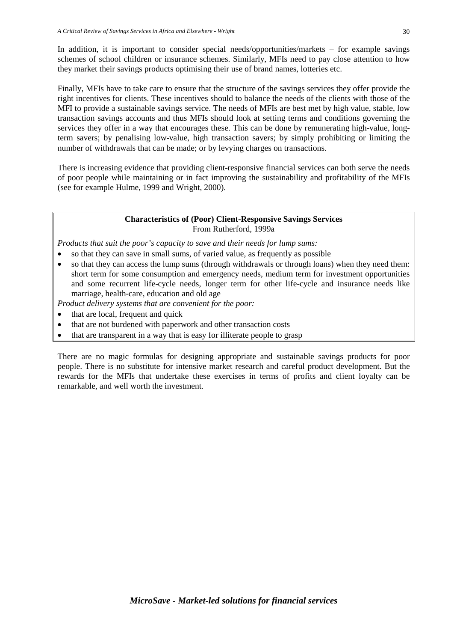In addition, it is important to consider special needs/opportunities/markets – for example savings schemes of school children or insurance schemes. Similarly, MFIs need to pay close attention to how they market their savings products optimising their use of brand names, lotteries etc.

Finally, MFIs have to take care to ensure that the structure of the savings services they offer provide the right incentives for clients. These incentives should to balance the needs of the clients with those of the MFI to provide a sustainable savings service. The needs of MFIs are best met by high value, stable, low transaction savings accounts and thus MFIs should look at setting terms and conditions governing the services they offer in a way that encourages these. This can be done by remunerating high-value, longterm savers; by penalising low-value, high transaction savers; by simply prohibiting or limiting the number of withdrawals that can be made; or by levying charges on transactions.

There is increasing evidence that providing client-responsive financial services can both serve the needs of poor people while maintaining or in fact improving the sustainability and profitability of the MFIs (see for example Hulme, 1999 and Wright, 2000).

#### **Characteristics of (Poor) Client-Responsive Savings Services** From Rutherford, 1999a

*Products that suit the poor's capacity to save and their needs for lump sums:*

- so that they can save in small sums, of varied value, as frequently as possible
- so that they can access the lump sums (through withdrawals or through loans) when they need them: short term for some consumption and emergency needs, medium term for investment opportunities and some recurrent life-cycle needs, longer term for other life-cycle and insurance needs like marriage, health-care, education and old age

*Product delivery systems that are convenient for the poor:*

- that are local, frequent and quick
- that are not burdened with paperwork and other transaction costs
- that are transparent in a way that is easy for illiterate people to grasp

There are no magic formulas for designing appropriate and sustainable savings products for poor people. There is no substitute for intensive market research and careful product development. But the rewards for the MFIs that undertake these exercises in terms of profits and client loyalty can be remarkable, and well worth the investment.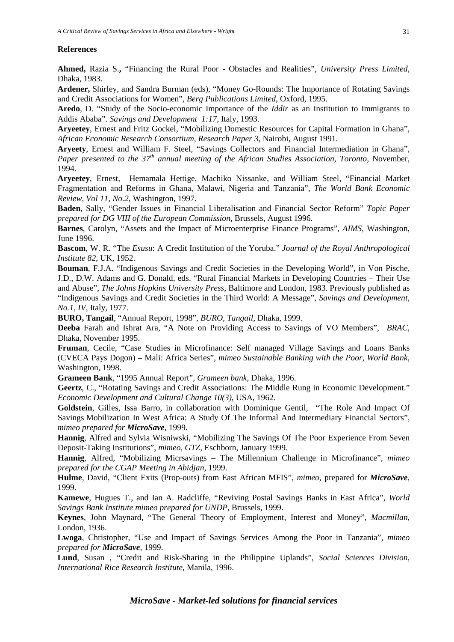#### **References**

**Ahmed,** Razia S.**,** "Financing the Rural Poor - Obstacles and Realities", *University Press Limited*, Dhaka, 1983.

**Ardener,** Shirley, and Sandra Burman (eds), "Money Go-Rounds: The Importance of Rotating Savings and Credit Associations for Women", *Berg Publications Limited*, Oxford, 1995.

**Aredo**, D. "Study of the Socio-economic Importance of the *Iddir* as an Institution to Immigrants to Addis Ababa". *Savings and Development 1:17*, Italy, 1993.

**Aryeetey**, Ernest and Fritz Gockel, "Mobilizing Domestic Resources for Capital Formation in Ghana", *African Economic Research Consortium, Research Paper 3*, Nairobi, August 1991.

**Aryeety**, Ernest and William F. Steel, "Savings Collectors and Financial Intermediation in Ghana", *Paper presented to the 37th annual meeting of the African Studies Association, Toronto,* November, 1994.

**Aryeetey**, Ernest, Hemamala Hettige, Machiko Nissanke, and William Steel, "Financial Market Fragmentation and Reforms in Ghana, Malawi, Nigeria and Tanzania", *The World Bank Economic Review, Vol 11, No.2*, Washington, 1997.

**Baden**, Sally, "Gender Issues in Financial Liberalisation and Financial Sector Reform" *Topic Paper prepared for DG VIII of the European Commission*, Brussels, August 1996.

**Barnes**, Carolyn, "Assets and the Impact of Microenterprise Finance Programs", *AIMS*, Washington, June 1996.

**Bascom**, W. R. "The *Esusu*: A Credit Institution of the Yoruba." *Journal of the Royal Anthropological Institute 82*, UK, 1952.

**Bouman**, F.J.A. "Indigenous Savings and Credit Societies in the Developing World", in Von Pische, J.D., D.W. Adams and G. Donald, eds. "Rural Financial Markets in Developing Countries – Their Use and Abuse", *The Johns Hopkins University Press*, Baltimore and London, 1983. Previously published as "Indigenous Savings and Credit Societies in the Third World: A Message", *Savings and Development*, *No.1, IV,* Italy, 1977.

**BURO, Tangail**, "Annual Report, 1998", *BURO, Tangail*, Dhaka, 1999.

**Deeba** Farah and Ishrat Ara, "A Note on Providing Access to Savings of VO Members", *BRAC,*  Dhaka, November 1995.

**Fruman**, Cecile, "Case Studies in Microfinance: Self managed Village Savings and Loans Banks (CVECA Pays Dogon) – Mali: Africa Series", *mimeo Sustainable Banking with the Poor, World Bank*, Washington, 1998.

**Grameen Bank**, "1995 Annual Report", *Grameen bank*, Dhaka, 1996.

**Geertz**, C., "Rotating Savings and Credit Associations: The Middle Rung in Economic Development." *Economic Development and Cultural Change 10(3)*, USA, 1962.

**Goldstein**, Gilles, Issa Barro, in collaboration with Dominique Gentil, "The Role And Impact Of Savings Mobilization In West Africa: A Study Of The Informal And Intermediary Financial Sectors", *mimeo prepared for MicroSave,* 1999.

**Hannig**, Alfred and Sylvia Wisniwski, "Mobilizing The Savings Of The Poor Experience From Seven Deposit-Taking Institutions", *mimeo, GTZ,* Eschborn, January 1999.

**Hannig**, Alfred, "Mobilizing Micrsavings – The Millennium Challenge in Microfinance", *mimeo prepared for the CGAP Meeting in Abidjan*, 1999.

**Hulme**, David, "Client Exits (Prop-outs) from East African MFIS", *mimeo*, prepared for *MicroSave,*  1999.

**Kamewe**, Hugues T., and Ian A. Radcliffe, "Reviving Postal Savings Banks in East Africa", *World Savings Bank Institute mimeo prepared for UNDP*, Brussels, 1999.

**Keynes**, John Maynard, "The General Theory of Employment, Interest and Money", *Macmillan*, London, 1936.

**Lwoga**, Christopher, "Use and Impact of Savings Services Among the Poor in Tanzania", *mimeo prepared for MicroSave,* 1999.

**Lund**, Susan , "Credit and Risk-Sharing in the Philippine Uplands", *Social Sciences Division, International Rice Research Institute*, Manila, 1996.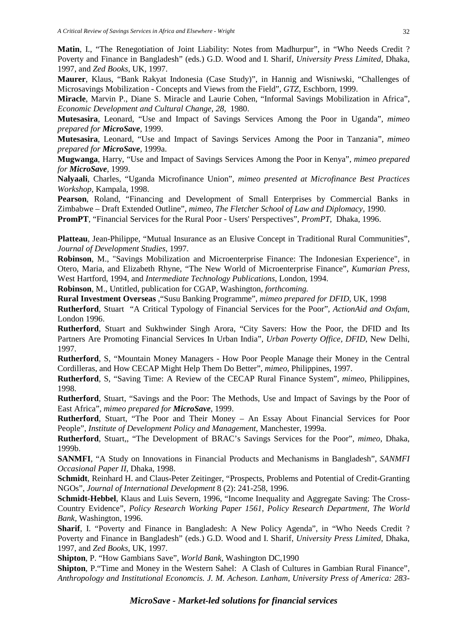**Matin**, I., "The Renegotiation of Joint Liability: Notes from Madhurpur", in "Who Needs Credit ? Poverty and Finance in Bangladesh" (eds.) G.D. Wood and I. Sharif, *University Press Limited*, Dhaka, 1997, and *Zed Books*, UK, 1997.

**Maurer**, Klaus, "Bank Rakyat Indonesia (Case Study)", in Hannig and Wisniwski, "Challenges of Microsavings Mobilization - Concepts and Views from the Field", *GTZ*, Eschborn, 1999.

**Miracle**, Marvin P., Diane S. Miracle and Laurie Cohen, "Informal Savings Mobilization in Africa", *Economic Development and Cultural Change, 28*, 1980.

**Mutesasira**, Leonard, "Use and Impact of Savings Services Among the Poor in Uganda", *mimeo prepared for MicroSave,* 1999.

**Mutesasira**, Leonard, "Use and Impact of Savings Services Among the Poor in Tanzania", *mimeo prepared for MicroSave,* 1999a.

**Mugwanga**, Harry, "Use and Impact of Savings Services Among the Poor in Kenya", *mimeo prepared for MicroSave,* 1999.

**Nalyaali**, Charles, "Uganda Microfinance Union", *mimeo presented at Microfinance Best Practices Workshop,* Kampala, 1998.

**Pearson**, Roland, "Financing and Development of Small Enterprises by Commercial Banks in Zimbabwe – Draft Extended Outline", *mimeo, The Fletcher School of Law and Diplomacy*, 1990.

**PromPT**, "Financial Services for the Rural Poor - Users' Perspectives", *PromPT*, Dhaka, 1996.

**Platteau**, Jean-Philippe, "Mutual Insurance as an Elusive Concept in Traditional Rural Communities", *Journal of Development Studies*, 1997.

**Robinson**, M., "Savings Mobilization and Microenterprise Finance: The Indonesian Experience", in Otero, Maria, and Elizabeth Rhyne, "The New World of Microenterprise Finance"*, Kumarian Press*, West Hartford, 1994, and *Intermediate Technology Publications*, London, 1994.

**Robinson**, M., Untitled, publication for CGAP, Washington, *forthcoming.*

**Rural Investment Overseas** ,"Susu Banking Programme", *mimeo prepared for DFID*, UK, 1998

**Rutherford**, Stuart "A Critical Typology of Financial Services for the Poor"*, ActionAid and Oxfam*, London 1996.

**Rutherford**, Stuart and Sukhwinder Singh Arora, "City Savers: How the Poor, the DFID and Its Partners Are Promoting Financial Services In Urban India", *Urban Poverty Office, DFID*, New Delhi, 1997.

**Rutherford**, S, "Mountain Money Managers - How Poor People Manage their Money in the Central Cordilleras, and How CECAP Might Help Them Do Better", *mimeo,* Philippines, 1997.

**Rutherford**, S, "Saving Time: A Review of the CECAP Rural Finance System", *mimeo*, Philippines, 1998.

**Rutherford**, Stuart, "Savings and the Poor: The Methods, Use and Impact of Savings by the Poor of East Africa", *mimeo prepared for MicroSave,* 1999.

**Rutherford**, Stuart, "The Poor and Their Money – An Essay About Financial Services for Poor People", *Institute of Development Policy and Management*, Manchester, 1999a.

**Rutherford**, Stuart,, "The Development of BRAC's Savings Services for the Poor", *mimeo*, Dhaka, 1999b.

**SANMFI**, "A Study on Innovations in Financial Products and Mechanisms in Bangladesh", *SANMFI Occasional Paper II*, Dhaka, 1998.

**Schmidt**, Reinhard H. and Claus-Peter Zeitinger, "Prospects, Problems and Potential of Credit-Granting NGOs", *Journal of International Development* 8 (2): 241-258, 1996.

**Schmidt-Hebbel**, Klaus and Luis Severn, 1996, "Income Inequality and Aggregate Saving: The Cross-Country Evidence", *Policy Research Working Paper 1561, Policy Research Department, The World Bank,* Washington, 1996.

**Sharif**, I. "Poverty and Finance in Bangladesh: A New Policy Agenda", in "Who Needs Credit ? Poverty and Finance in Bangladesh" (eds.) G.D. Wood and I. Sharif, *University Press Limited*, Dhaka, 1997, and *Zed Books*, UK, 1997.

**Shipton**, P. "How Gambians Save", *World Bank,* Washington DC,1990

**Shipton**, P."Time and Money in the Western Sahel: A Clash of Cultures in Gambian Rural Finance", *Anthropology and Institutional Economcis. J. M. Acheson. Lanham, University Press of America: 283-*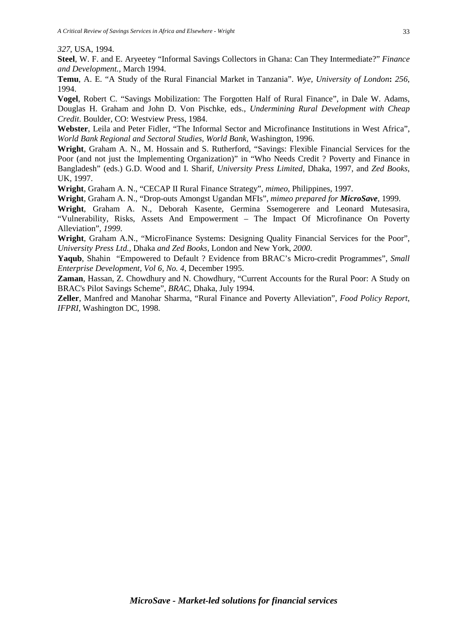*327*, USA, 1994.

**Steel**, W. F. and E. Aryeetey "Informal Savings Collectors in Ghana: Can They Intermediate?" *Finance and Development.,* March 1994.

**Temu**, A. E. "A Study of the Rural Financial Market in Tanzania". *Wye, University of London***:** *256*, 1994.

**Vogel**, Robert C. "Savings Mobilization: The Forgotten Half of Rural Finance", in Dale W. Adams, Douglas H. Graham and John D. Von Pischke, eds., *Undermining Rural Development with Cheap Credit*. Boulder, CO: Westview Press, 1984.

**Webster**, Leila and Peter Fidler, "The Informal Sector and Microfinance Institutions in West Africa", *World Bank Regional and Sectoral Studies, World Bank,* Washington, 1996.

**Wright**, Graham A. N., M. Hossain and S. Rutherford, "Savings: Flexible Financial Services for the Poor (and not just the Implementing Organization)" in "Who Needs Credit ? Poverty and Finance in Bangladesh" (eds.) G.D. Wood and I. Sharif, *University Press Limited*, Dhaka, 1997, and *Zed Books*, UK, 1997.

**Wright**, Graham A. N., "CECAP II Rural Finance Strategy", *mimeo*, Philippines, 1997.

**Wright**, Graham A. N., "Drop-outs Amongst Ugandan MFIs", *mimeo prepared for MicroSave,* 1999.

**Wright**, Graham A. N., Deborah Kasente, Germina Ssemogerere and Leonard Mutesasira, "Vulnerability, Risks, Assets And Empowerment – The Impact Of Microfinance On Poverty Alleviation", *1999*.

**Wright**, Graham A.N., "MicroFinance Systems: Designing Quality Financial Services for the Poor", *University Press Ltd.,* Dhaka *and Zed Books,* London and New York, *2000*.

**Yaqub**, Shahin "Empowered to Default ? Evidence from BRAC's Micro-credit Programmes", *Small Enterprise Development, Vol 6, No. 4*, December 1995.

**Zaman**, Hassan, Z. Chowdhury and N. Chowdhury, "Current Accounts for the Rural Poor: A Study on BRAC's Pilot Savings Scheme", *BRAC*, Dhaka, July 1994.

**Zeller**, Manfred and Manohar Sharma, "Rural Finance and Poverty Alleviation", *Food Policy Report*, *IFPRI*, Washington DC, 1998.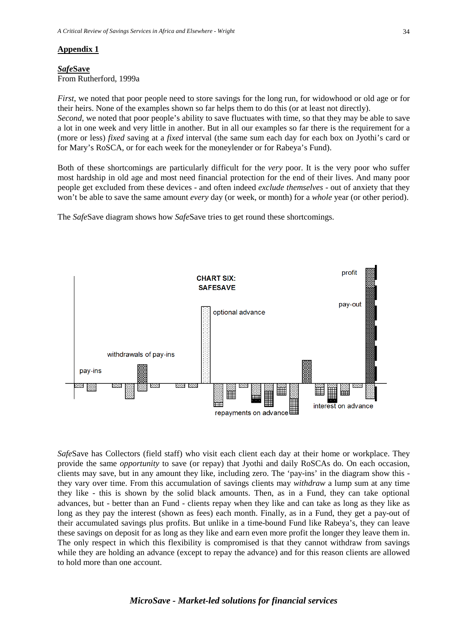#### **Appendix 1**

#### *Safe***Save** From Rutherford, 1999a

*First*, we noted that poor people need to store savings for the long run, for widowhood or old age or for their heirs. None of the examples shown so far helps them to do this (or at least not directly).

*Second*, we noted that poor people's ability to save fluctuates with time, so that they may be able to save a lot in one week and very little in another. But in all our examples so far there is the requirement for a (more or less) *fixed* saving at a *fixed* interval (the same sum each day for each box on Jyothi's card or for Mary's RoSCA, or for each week for the moneylender or for Rabeya's Fund).

Both of these shortcomings are particularly difficult for the *very* poor. It is the very poor who suffer most hardship in old age and most need financial protection for the end of their lives. And many poor people get excluded from these devices - and often indeed *exclude themselves* - out of anxiety that they won't be able to save the same amount *every* day (or week, or month) for a *whole* year (or other period).

The *Safe*Save diagram shows how *Safe*Save tries to get round these shortcomings.



*Safe*Save has Collectors (field staff) who visit each client each day at their home or workplace. They provide the same *opportunity* to save (or repay) that Jyothi and daily RoSCAs do. On each occasion, clients may save, but in any amount they like, including zero. The 'pay-ins' in the diagram show this they vary over time. From this accumulation of savings clients may *withdraw* a lump sum at any time they like - this is shown by the solid black amounts. Then, as in a Fund, they can take optional advances, but - better than an Fund - clients repay when they like and can take as long as they like as long as they pay the interest (shown as fees) each month. Finally, as in a Fund, they get a pay-out of their accumulated savings plus profits. But unlike in a time-bound Fund like Rabeya's, they can leave these savings on deposit for as long as they like and earn even more profit the longer they leave them in. The only respect in which this flexibility is compromised is that they cannot withdraw from savings while they are holding an advance (except to repay the advance) and for this reason clients are allowed to hold more than one account.